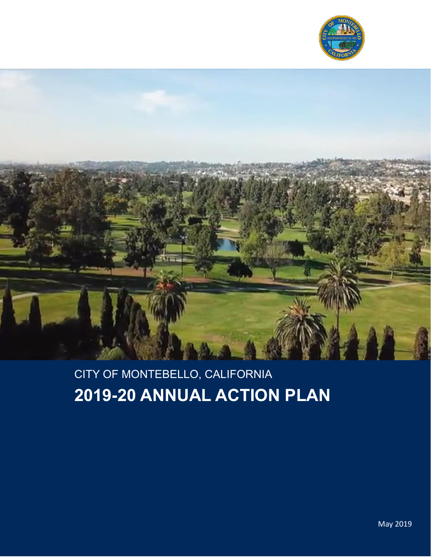



# CITY OF MONTEBELLO, CALIFORNIA **2019-20 ANNUAL ACTION PLAN**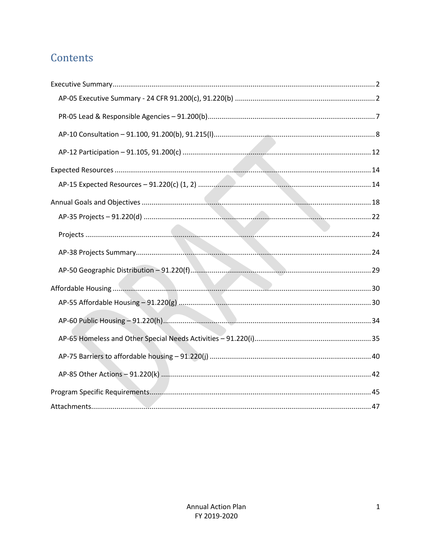## Contents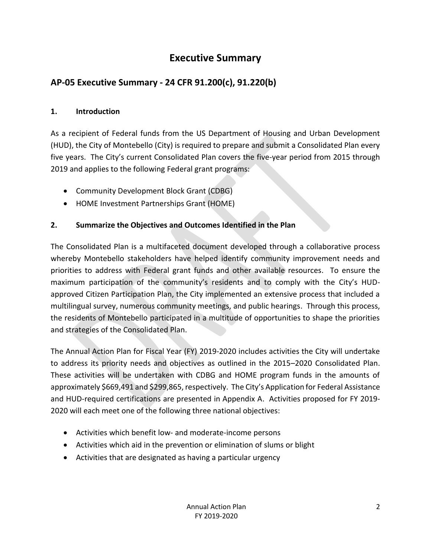## **Executive Summary**

## <span id="page-2-1"></span><span id="page-2-0"></span>**AP-05 Executive Summary - 24 CFR 91.200(c), 91.220(b)**

## **1. Introduction**

As a recipient of Federal funds from the US Department of Housing and Urban Development (HUD), the City of Montebello (City) is required to prepare and submit a Consolidated Plan every five years. The City's current Consolidated Plan covers the five-year period from 2015 through 2019 and applies to the following Federal grant programs:

- Community Development Block Grant (CDBG)
- HOME Investment Partnerships Grant (HOME)

## **2. Summarize the Objectives and Outcomes Identified in the Plan**

The Consolidated Plan is a multifaceted document developed through a collaborative process whereby Montebello stakeholders have helped identify community improvement needs and priorities to address with Federal grant funds and other available resources. To ensure the maximum participation of the community's residents and to comply with the City's HUDapproved Citizen Participation Plan, the City implemented an extensive process that included a multilingual survey, numerous community meetings, and public hearings. Through this process, the residents of Montebello participated in a multitude of opportunities to shape the priorities and strategies of the Consolidated Plan.

The Annual Action Plan for Fiscal Year (FY) 2019-2020 includes activities the City will undertake to address its priority needs and objectives as outlined in the 2015–2020 Consolidated Plan. These activities will be undertaken with CDBG and HOME program funds in the amounts of approximately \$669,491 and \$299,865, respectively. The City's Application for Federal Assistance and HUD-required certifications are presented in Appendix A. Activities proposed for FY 2019- 2020 will each meet one of the following three national objectives:

- Activities which benefit low- and moderate-income persons
- Activities which aid in the prevention or elimination of slums or blight
- Activities that are designated as having a particular urgency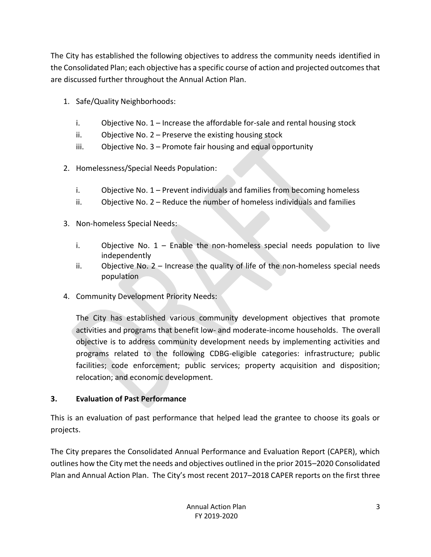The City has established the following objectives to address the community needs identified in the Consolidated Plan; each objective has a specific course of action and projected outcomes that are discussed further throughout the Annual Action Plan.

- 1. Safe/Quality Neighborhoods:
	- i. Objective No. 1 Increase the affordable for-sale and rental housing stock
	- ii. Objective No. 2 Preserve the existing housing stock
	- iii. Objective No. 3 Promote fair housing and equal opportunity
- 2. Homelessness/Special Needs Population:
	- i. Objective No. 1 Prevent individuals and families from becoming homeless
	- ii. Objective No. 2 Reduce the number of homeless individuals and families
- 3. Non-homeless Special Needs:
	- i. Objective No. 1 Enable the non-homeless special needs population to live independently
	- ii. Objective No. 2 Increase the quality of life of the non-homeless special needs population
- 4. Community Development Priority Needs:

The City has established various community development objectives that promote activities and programs that benefit low- and moderate-income households. The overall objective is to address community development needs by implementing activities and programs related to the following CDBG-eligible categories: infrastructure; public facilities; code enforcement; public services; property acquisition and disposition; relocation; and economic development.

## **3. Evaluation of Past Performance**

This is an evaluation of past performance that helped lead the grantee to choose its goals or projects.

The City prepares the Consolidated Annual Performance and Evaluation Report (CAPER), which outlines how the City met the needs and objectives outlined in the prior 2015–2020 Consolidated Plan and Annual Action Plan. The City's most recent 2017–2018 CAPER reports on the first three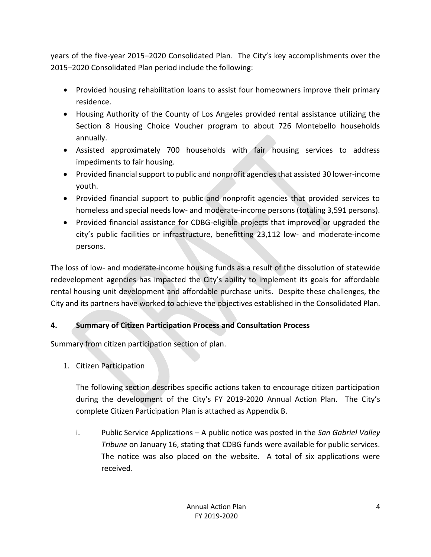years of the five-year 2015–2020 Consolidated Plan. The City's key accomplishments over the 2015–2020 Consolidated Plan period include the following:

- Provided housing rehabilitation loans to assist four homeowners improve their primary residence.
- Housing Authority of the County of Los Angeles provided rental assistance utilizing the Section 8 Housing Choice Voucher program to about 726 Montebello households annually.
- Assisted approximately 700 households with fair housing services to address impediments to fair housing.
- Provided financial support to public and nonprofit agencies that assisted 30 lower-income youth.
- Provided financial support to public and nonprofit agencies that provided services to homeless and special needs low- and moderate-income persons (totaling 3,591 persons).
- Provided financial assistance for CDBG-eligible projects that improved or upgraded the city's public facilities or infrastructure, benefitting 23,112 low- and moderate-income persons.

The loss of low- and moderate-income housing funds as a result of the dissolution of statewide redevelopment agencies has impacted the City's ability to implement its goals for affordable rental housing unit development and affordable purchase units. Despite these challenges, the City and its partners have worked to achieve the objectives established in the Consolidated Plan.

## **4. Summary of Citizen Participation Process and Consultation Process**

Summary from citizen participation section of plan.

1. Citizen Participation

The following section describes specific actions taken to encourage citizen participation during the development of the City's FY 2019-2020 Annual Action Plan. The City's complete Citizen Participation Plan is attached as Appendix B.

i. Public Service Applications – A public notice was posted in the *San Gabriel Valley Tribune* on January 16, stating that CDBG funds were available for public services. The notice was also placed on the website. A total of six applications were received.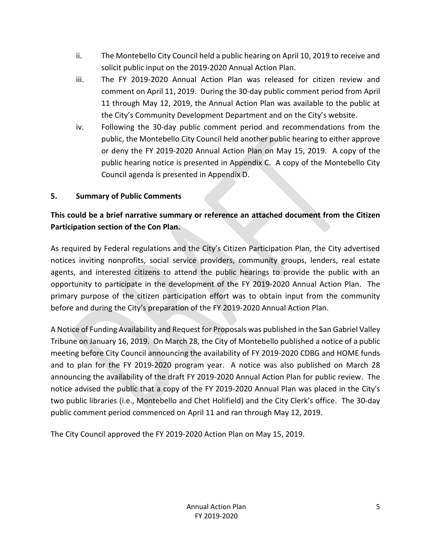- ii. The Montebello City Council held a public hearing on April 10, 2019 to receive and solicit public input on the 2019-2020 Annual Action Plan.
- iii. The FY 2019-2020 Annual Action Plan was released for citizen review and comment on April 11, 2019. During the 30-day public comment period from April 11 through May 12, 2019, the Annual Action Plan was available to the public at the City's Community Development Department and on the City's website.
- iv. Following the 30-day public comment period and recommendations from the public, the Montebello City Council held another public hearing to either approve or deny the FY 2019-2020 Annual Action Plan on May 15, 2019. A copy of the public hearing notice is presented in Appendix C. A copy of the Montebello City Council agenda is presented in Appendix D.

## **5. Summary of Public Comments**

## **This could be a brief narrative summary or reference an attached document from the Citizen Participation section of the Con Plan.**

As required by Federal regulations and the City's Citizen Participation Plan, the City advertised notices inviting nonprofits, social service providers, community groups, lenders, real estate agents, and interested citizens to attend the public hearings to provide the public with an opportunity to participate in the development of the FY 2019-2020 Annual Action Plan. The primary purpose of the citizen participation effort was to obtain input from the community before and during the City's preparation of the FY 2019-2020 Annual Action Plan.

A Notice of Funding Availability and Request for Proposals was published in the San Gabriel Valley Tribune on January 16, 2019. On March 28, the City of Montebello published a notice of a public meeting before City Council announcing the availability of FY 2019-2020 CDBG and HOME funds and to plan for the FY 2019-2020 program year. A notice was also published on March 28 announcing the availability of the draft FY 2019-2020 Annual Action Plan for public review. The notice advised the public that a copy of the FY 2019-2020 Annual Plan was placed in the City's two public libraries (i.e., Montebello and Chet Holifield) and the City Clerk's office. The 30-day public comment period commenced on April 11 and ran through May 12, 2019.

The City Council approved the FY 2019-2020 Action Plan on May 15, 2019.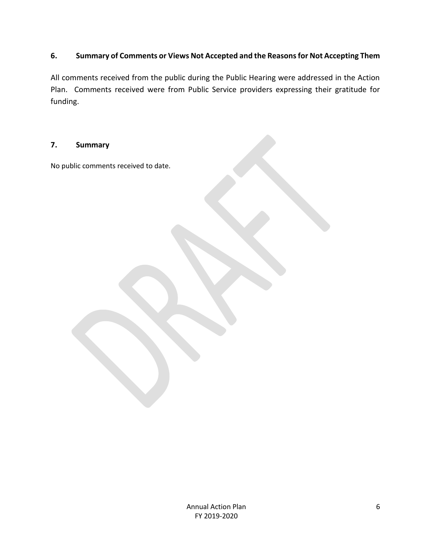## **6. Summary of Comments or Views Not Accepted and the Reasons for Not Accepting Them**

All comments received from the public during the Public Hearing were addressed in the Action Plan. Comments received were from Public Service providers expressing their gratitude for funding.

#### **7. Summary**

No public comments received to date.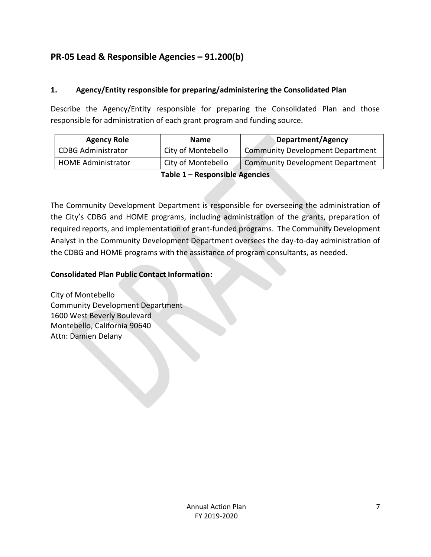## <span id="page-7-0"></span>**PR-05 Lead & Responsible Agencies – 91.200(b)**

## **1. Agency/Entity responsible for preparing/administering the Consolidated Plan**

Describe the Agency/Entity responsible for preparing the Consolidated Plan and those responsible for administration of each grant program and funding source.

| <b>Agency Role</b>        | <b>Name</b>        | <b>Department/Agency</b>                |
|---------------------------|--------------------|-----------------------------------------|
| <b>CDBG Administrator</b> | City of Montebello | <b>Community Development Department</b> |
| <b>HOME Administrator</b> | City of Montebello | <b>Community Development Department</b> |

#### **Table 1 – Responsible Agencies**

The Community Development Department is responsible for overseeing the administration of the City's CDBG and HOME programs, including administration of the grants, preparation of required reports, and implementation of grant-funded programs. The Community Development Analyst in the Community Development Department oversees the day-to-day administration of the CDBG and HOME programs with the assistance of program consultants, as needed.

#### **Consolidated Plan Public Contact Information:**

City of Montebello Community Development Department 1600 West Beverly Boulevard Montebello, California 90640 Attn: Damien Delany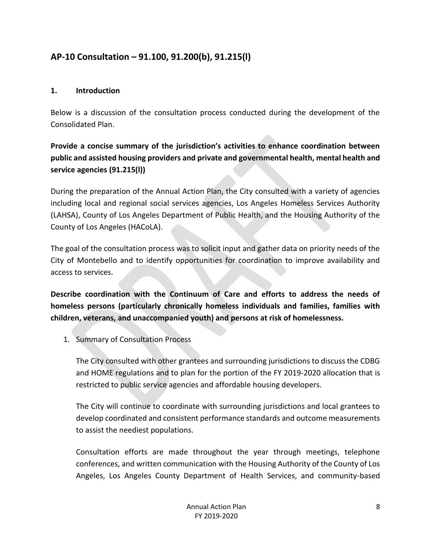## <span id="page-8-0"></span>**AP-10 Consultation – 91.100, 91.200(b), 91.215(l)**

### **1. Introduction**

Below is a discussion of the consultation process conducted during the development of the Consolidated Plan.

## **Provide a concise summary of the jurisdiction's activities to enhance coordination between public and assisted housing providers and private and governmental health, mental health and service agencies (91.215(l))**

During the preparation of the Annual Action Plan, the City consulted with a variety of agencies including local and regional social services agencies, Los Angeles Homeless Services Authority (LAHSA), County of Los Angeles Department of Public Health, and the Housing Authority of the County of Los Angeles (HACoLA).

The goal of the consultation process was to solicit input and gather data on priority needs of the City of Montebello and to identify opportunities for coordination to improve availability and access to services.

**Describe coordination with the Continuum of Care and efforts to address the needs of homeless persons (particularly chronically homeless individuals and families, families with children, veterans, and unaccompanied youth) and persons at risk of homelessness.**

1. Summary of Consultation Process

The City consulted with other grantees and surrounding jurisdictions to discuss the CDBG and HOME regulations and to plan for the portion of the FY 2019-2020 allocation that is restricted to public service agencies and affordable housing developers.

The City will continue to coordinate with surrounding jurisdictions and local grantees to develop coordinated and consistent performance standards and outcome measurements to assist the neediest populations.

Consultation efforts are made throughout the year through meetings, telephone conferences, and written communication with the Housing Authority of the County of Los Angeles, Los Angeles County Department of Health Services, and community-based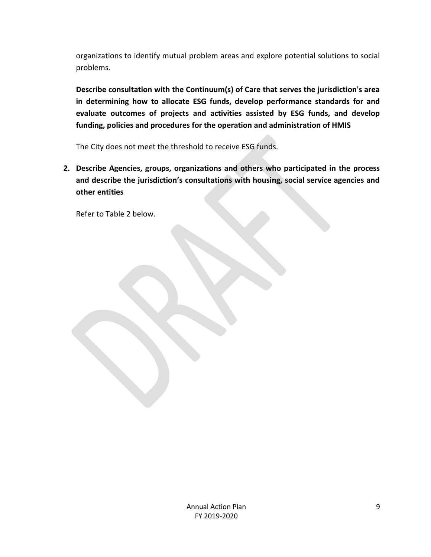organizations to identify mutual problem areas and explore potential solutions to social problems.

**Describe consultation with the Continuum(s) of Care that serves the jurisdiction's area in determining how to allocate ESG funds, develop performance standards for and evaluate outcomes of projects and activities assisted by ESG funds, and develop funding, policies and procedures for the operation and administration of HMIS**

The City does not meet the threshold to receive ESG funds.

**2. Describe Agencies, groups, organizations and others who participated in the process and describe the jurisdiction's consultations with housing, social service agencies and other entities**

Refer to Table 2 below.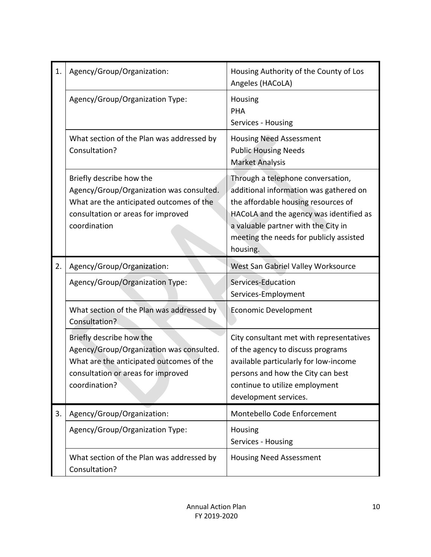| 1. | Agency/Group/Organization:                                                                                                                                              | Housing Authority of the County of Los<br>Angeles (HACoLA)                                                                                                                                                                                                  |  |
|----|-------------------------------------------------------------------------------------------------------------------------------------------------------------------------|-------------------------------------------------------------------------------------------------------------------------------------------------------------------------------------------------------------------------------------------------------------|--|
|    | Agency/Group/Organization Type:                                                                                                                                         | Housing<br>PHA<br>Services - Housing                                                                                                                                                                                                                        |  |
|    | What section of the Plan was addressed by<br>Consultation?                                                                                                              | <b>Housing Need Assessment</b><br><b>Public Housing Needs</b><br><b>Market Analysis</b>                                                                                                                                                                     |  |
|    | Briefly describe how the<br>Agency/Group/Organization was consulted.<br>What are the anticipated outcomes of the<br>consultation or areas for improved<br>coordination  | Through a telephone conversation,<br>additional information was gathered on<br>the affordable housing resources of<br>HACoLA and the agency was identified as<br>a valuable partner with the City in<br>meeting the needs for publicly assisted<br>housing. |  |
| 2. | Agency/Group/Organization:                                                                                                                                              | West San Gabriel Valley Worksource                                                                                                                                                                                                                          |  |
|    | Agency/Group/Organization Type:                                                                                                                                         | Services-Education<br>Services-Employment                                                                                                                                                                                                                   |  |
|    | What section of the Plan was addressed by<br>Consultation?                                                                                                              | <b>Economic Development</b>                                                                                                                                                                                                                                 |  |
|    | Briefly describe how the<br>Agency/Group/Organization was consulted.<br>What are the anticipated outcomes of the<br>consultation or areas for improved<br>coordination? | City consultant met with representatives<br>of the agency to discuss programs<br>available particularly for low-income<br>persons and how the City can best<br>continue to utilize employment<br>development services.                                      |  |
| 3. | Agency/Group/Organization:                                                                                                                                              | Montebello Code Enforcement                                                                                                                                                                                                                                 |  |
|    | Agency/Group/Organization Type:                                                                                                                                         | Housing<br>Services - Housing                                                                                                                                                                                                                               |  |
|    | What section of the Plan was addressed by<br>Consultation?                                                                                                              | <b>Housing Need Assessment</b>                                                                                                                                                                                                                              |  |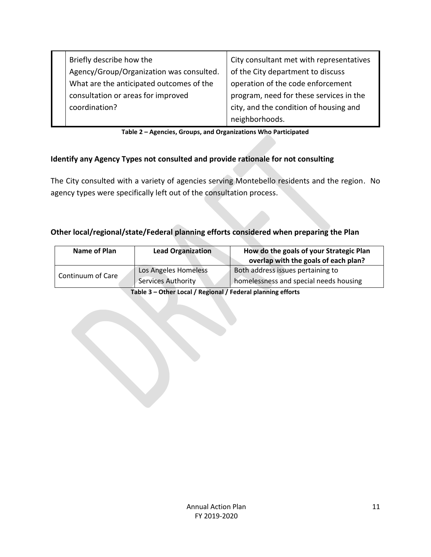| Briefly describe how the<br>Agency/Group/Organization was consulted. | City consultant met with representatives<br>of the City department to discuss |
|----------------------------------------------------------------------|-------------------------------------------------------------------------------|
| What are the anticipated outcomes of the                             | operation of the code enforcement                                             |
| consultation or areas for improved                                   | program, need for these services in the                                       |
| coordination?                                                        | city, and the condition of housing and                                        |
|                                                                      | neighborhoods.                                                                |

| Table 2 - Agencies, Groups, and Organizations Who Participated |
|----------------------------------------------------------------|
|----------------------------------------------------------------|

## **Identify any Agency Types not consulted and provide rationale for not consulting**

The City consulted with a variety of agencies serving Montebello residents and the region. No agency types were specifically left out of the consultation process.

## **Other local/regional/state/Federal planning efforts considered when preparing the Plan**

| <b>Name of Plan</b> | <b>Lead Organization</b>                   | How do the goals of your Strategic Plan<br>overlap with the goals of each plan? |
|---------------------|--------------------------------------------|---------------------------------------------------------------------------------|
| Continuum of Care   | Los Angeles Homeless<br>Services Authority | Both address issues pertaining to<br>homelessness and special needs housing     |

**Table 3 – Other Local / Regional / Federal planning efforts**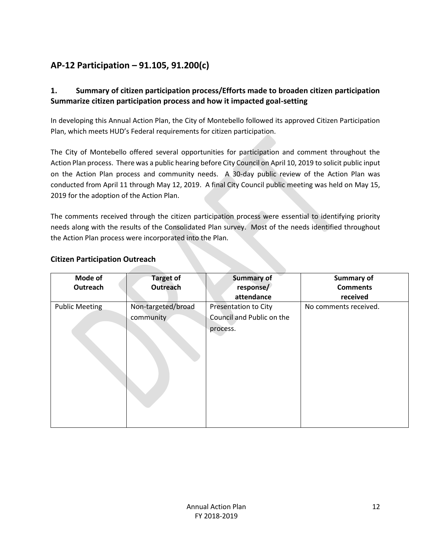## <span id="page-12-0"></span>**AP-12 Participation – 91.105, 91.200(c)**

## **1. Summary of citizen participation process/Efforts made to broaden citizen participation Summarize citizen participation process and how it impacted goal-setting**

In developing this Annual Action Plan, the City of Montebello followed its approved Citizen Participation Plan, which meets HUD's Federal requirements for citizen participation.

The City of Montebello offered several opportunities for participation and comment throughout the Action Plan process. There was a public hearing before City Council on April 10, 2019 to solicit public input on the Action Plan process and community needs. A 30-day public review of the Action Plan was conducted from April 11 through May 12, 2019. A final City Council public meeting was held on May 15, 2019 for the adoption of the Action Plan.

The comments received through the citizen participation process were essential to identifying priority needs along with the results of the Consolidated Plan survey. Most of the needs identified throughout the Action Plan process were incorporated into the Plan.

| Mode of<br>Outreach | <b>Target of</b><br>Outreach    | <b>Summary of</b><br>response/<br>attendance                  | <b>Summary of</b><br><b>Comments</b><br>received |
|---------------------|---------------------------------|---------------------------------------------------------------|--------------------------------------------------|
| Public Meeting      | Non-targeted/broad<br>community | Presentation to City<br>Council and Public on the<br>process. | No comments received.                            |

## **Citizen Participation Outreach**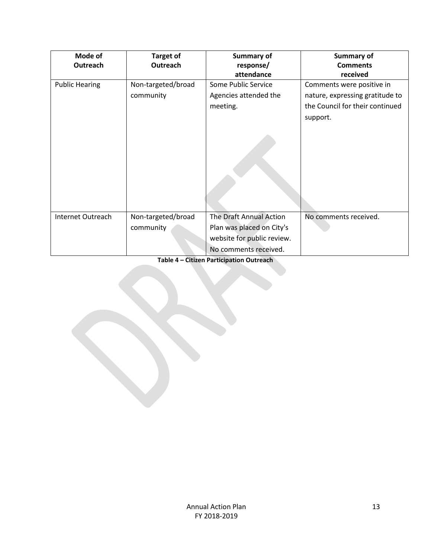| Mode of<br>Outreach   | <b>Target of</b><br>Outreach    | Summary of<br>response/<br>attendance                                                                       | Summary of<br><b>Comments</b><br>received                                                                   |
|-----------------------|---------------------------------|-------------------------------------------------------------------------------------------------------------|-------------------------------------------------------------------------------------------------------------|
| <b>Public Hearing</b> | Non-targeted/broad<br>community | Some Public Service<br>Agencies attended the<br>meeting.                                                    | Comments were positive in<br>nature, expressing gratitude to<br>the Council for their continued<br>support. |
| Internet Outreach     | Non-targeted/broad<br>community | The Draft Annual Action<br>Plan was placed on City's<br>website for public review.<br>No comments received. | No comments received.                                                                                       |

**Table 4 – Citizen Participation Outreach**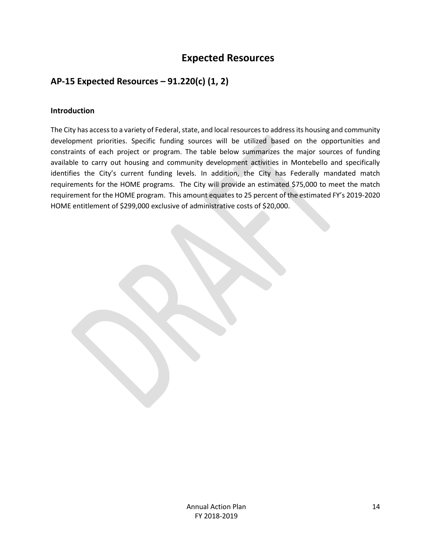## **Expected Resources**

## <span id="page-14-1"></span><span id="page-14-0"></span>**AP-15 Expected Resources – 91.220(c) (1, 2)**

#### **Introduction**

The City has access to a variety of Federal, state, and local resources to address its housing and community development priorities. Specific funding sources will be utilized based on the opportunities and constraints of each project or program. The table below summarizes the major sources of funding available to carry out housing and community development activities in Montebello and specifically identifies the City's current funding levels. In addition, the City has Federally mandated match requirements for the HOME programs. The City will provide an estimated \$75,000 to meet the match requirement for the HOME program. This amount equates to 25 percent of the estimated FY's 2019-2020 HOME entitlement of \$299,000 exclusive of administrative costs of \$20,000.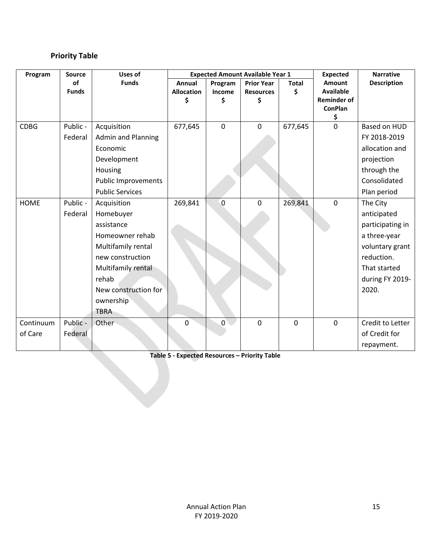## **Priority Table**

| Program     | <b>Source</b> | Uses of                    |                   |                | <b>Expected Amount Available Year 1</b> | <b>Expected</b> | <b>Narrative</b>                     |                    |
|-------------|---------------|----------------------------|-------------------|----------------|-----------------------------------------|-----------------|--------------------------------------|--------------------|
|             | of            | <b>Funds</b>               | Annual            | Program        | <b>Prior Year</b>                       | <b>Total</b>    | Amount                               | <b>Description</b> |
|             | <b>Funds</b>  |                            | <b>Allocation</b> | Income         | <b>Resources</b>                        | \$              | <b>Available</b>                     |                    |
|             |               |                            | \$                | \$             | \$                                      |                 | <b>Reminder of</b><br><b>ConPlan</b> |                    |
|             |               |                            |                   |                |                                         |                 | \$                                   |                    |
| <b>CDBG</b> | Public -      | Acquisition                | 677,645           | $\mathbf 0$    | $\mathbf 0$                             | 677,645         | $\mathbf 0$                          | Based on HUD       |
|             | Federal       | <b>Admin and Planning</b>  |                   |                |                                         |                 |                                      | FY 2018-2019       |
|             |               | Economic                   |                   |                |                                         |                 |                                      | allocation and     |
|             |               | Development                |                   |                |                                         |                 |                                      | projection         |
|             |               | Housing                    |                   |                |                                         |                 |                                      | through the        |
|             |               | <b>Public Improvements</b> |                   |                |                                         |                 |                                      | Consolidated       |
|             |               | <b>Public Services</b>     |                   |                |                                         |                 |                                      | Plan period        |
| <b>HOME</b> | Public -      | Acquisition                | 269,841           | $\mathbf 0$    | $\mathbf 0$                             | 269,841         | $\mathbf 0$                          | The City           |
|             | Federal       | Homebuyer                  |                   |                |                                         |                 |                                      | anticipated        |
|             |               | assistance                 |                   |                |                                         |                 |                                      | participating in   |
|             |               | Homeowner rehab            |                   |                |                                         |                 |                                      | a three-year       |
|             |               | Multifamily rental         |                   |                |                                         |                 |                                      | voluntary grant    |
|             |               | new construction           |                   |                |                                         |                 |                                      | reduction.         |
|             |               | Multifamily rental         |                   |                |                                         |                 |                                      | That started       |
|             |               | rehab                      |                   |                |                                         |                 |                                      | during FY 2019-    |
|             |               | New construction for       |                   |                |                                         |                 |                                      | 2020.              |
|             |               | ownership                  |                   |                |                                         |                 |                                      |                    |
|             |               | <b>TBRA</b>                |                   |                |                                         |                 |                                      |                    |
| Continuum   | Public -      | Other                      | $\mathbf 0$       | $\overline{0}$ | $\mathbf 0$                             | $\mathbf 0$     | $\mathbf 0$                          | Credit to Letter   |
| of Care     | Federal       |                            |                   |                |                                         |                 |                                      | of Credit for      |
|             |               |                            |                   |                |                                         |                 |                                      | repayment.         |

**Table 5 - Expected Resources – Priority Table**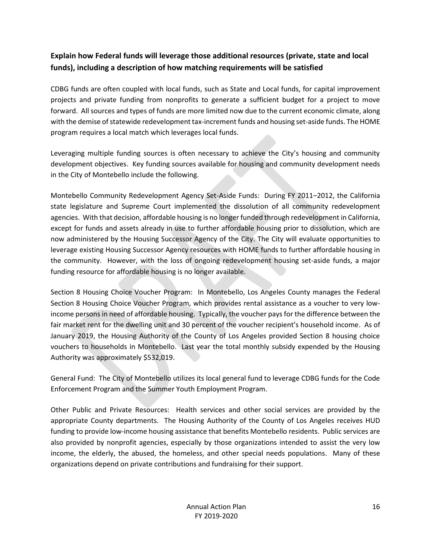## **Explain how Federal funds will leverage those additional resources (private, state and local funds), including a description of how matching requirements will be satisfied**

CDBG funds are often coupled with local funds, such as State and Local funds, for capital improvement projects and private funding from nonprofits to generate a sufficient budget for a project to move forward. All sources and types of funds are more limited now due to the current economic climate, along with the demise of statewide redevelopment tax-increment funds and housing set-aside funds. The HOME program requires a local match which leverages local funds.

Leveraging multiple funding sources is often necessary to achieve the City's housing and community development objectives. Key funding sources available for housing and community development needs in the City of Montebello include the following.

Montebello Community Redevelopment Agency Set-Aside Funds: During FY 2011–2012, the California state legislature and Supreme Court implemented the dissolution of all community redevelopment agencies. With that decision, affordable housing is no longer funded through redevelopment in California, except for funds and assets already in use to further affordable housing prior to dissolution, which are now administered by the Housing Successor Agency of the City. The City will evaluate opportunities to leverage existing Housing Successor Agency resources with HOME funds to further affordable housing in the community. However, with the loss of ongoing redevelopment housing set-aside funds, a major funding resource for affordable housing is no longer available.

Section 8 Housing Choice Voucher Program: In Montebello, Los Angeles County manages the Federal Section 8 Housing Choice Voucher Program, which provides rental assistance as a voucher to very lowincome persons in need of affordable housing. Typically, the voucher pays for the difference between the fair market rent for the dwelling unit and 30 percent of the voucher recipient's household income. As of January 2019, the Housing Authority of the County of Los Angeles provided Section 8 housing choice vouchers to households in Montebello. Last year the total monthly subsidy expended by the Housing Authority was approximately \$532,019.

General Fund: The City of Montebello utilizes its local general fund to leverage CDBG funds for the Code Enforcement Program and the Summer Youth Employment Program.

Other Public and Private Resources: Health services and other social services are provided by the appropriate County departments. The Housing Authority of the County of Los Angeles receives HUD funding to provide low-income housing assistance that benefits Montebello residents. Public services are also provided by nonprofit agencies, especially by those organizations intended to assist the very low income, the elderly, the abused, the homeless, and other special needs populations. Many of these organizations depend on private contributions and fundraising for their support.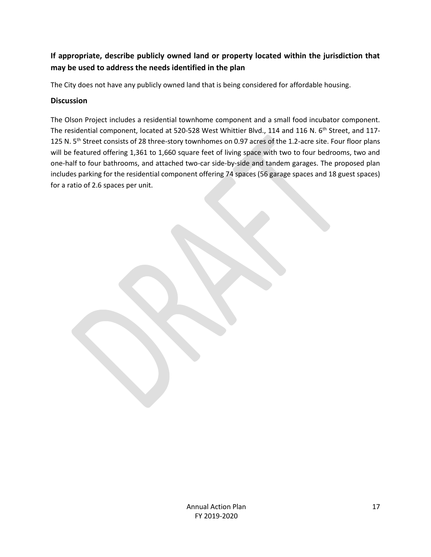## **If appropriate, describe publicly owned land or property located within the jurisdiction that may be used to address the needs identified in the plan**

The City does not have any publicly owned land that is being considered for affordable housing.

### **Discussion**

The Olson Project includes a residential townhome component and a small food incubator component. The residential component, located at 520-528 West Whittier Blvd., 114 and 116 N. 6<sup>th</sup> Street, and 117-125 N. 5<sup>th</sup> Street consists of 28 three-story townhomes on 0.97 acres of the 1.2-acre site. Four floor plans will be featured offering 1,361 to 1,660 square feet of living space with two to four bedrooms, two and one-half to four bathrooms, and attached two-car side-by-side and tandem garages. The proposed plan includes parking for the residential component offering 74 spaces (56 garage spaces and 18 guest spaces) for a ratio of 2.6 spaces per unit.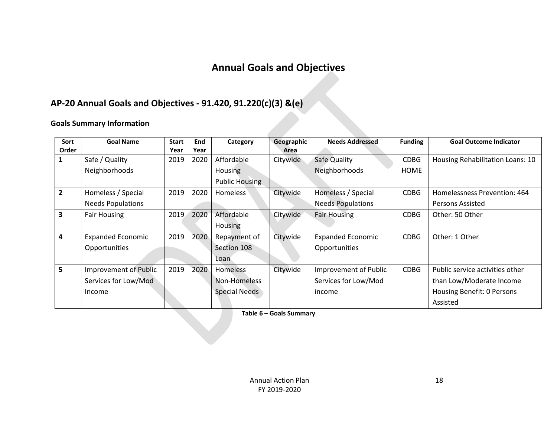## **Annual Goals and Objectives**

## **AP-20 Annual Goals and Objectives - 91.420, 91.220(c)(3) &(e)**

## **Goals Summary Information**

<span id="page-18-0"></span>

| Sort           | <b>Goal Name</b>         | <b>Start</b> | End  | Category              | Geographic | <b>Needs Addressed</b>   | <b>Funding</b> | <b>Goal Outcome Indicator</b>    |
|----------------|--------------------------|--------------|------|-----------------------|------------|--------------------------|----------------|----------------------------------|
| Order          |                          | Year         | Year |                       | Area       |                          |                |                                  |
|                | Safe / Quality           | 2019         | 2020 | Affordable            | Citywide   | Safe Quality             | <b>CDBG</b>    | Housing Rehabilitation Loans: 10 |
|                | Neighborhoods            |              |      | <b>Housing</b>        |            | Neighborhoods            | HOME           |                                  |
|                |                          |              |      | <b>Public Housing</b> |            |                          |                |                                  |
| $\overline{2}$ | Homeless / Special       | 2019         | 2020 | <b>Homeless</b>       | Citywide   | Homeless / Special       | <b>CDBG</b>    | Homelessness Prevention: 464     |
|                | <b>Needs Populations</b> |              |      |                       |            | <b>Needs Populations</b> |                | Persons Assisted                 |
| 3              | <b>Fair Housing</b>      | 2019         | 2020 | Affordable            | Citywide   | <b>Fair Housing</b>      | <b>CDBG</b>    | Other: 50 Other                  |
|                |                          |              |      | <b>Housing</b>        |            |                          |                |                                  |
| 4              | <b>Expanded Economic</b> | 2019         | 2020 | Repayment of          | Citywide   | <b>Expanded Economic</b> | <b>CDBG</b>    | Other: 1 Other                   |
|                | Opportunities            |              |      | Section 108           |            | Opportunities            |                |                                  |
|                |                          |              |      | Loan                  |            |                          |                |                                  |
| 5              | Improvement of Public    | 2019         | 2020 | <b>Homeless</b>       | Citywide   | Improvement of Public    | <b>CDBG</b>    | Public service activities other  |
|                | Services for Low/Mod     |              |      | Non-Homeless          |            | Services for Low/Mod     |                | than Low/Moderate Income         |
|                | Income                   |              |      | <b>Special Needs</b>  |            | income                   |                | Housing Benefit: 0 Persons       |
|                |                          |              |      |                       |            |                          |                | Assisted                         |

**Table 6 – Goals Summary**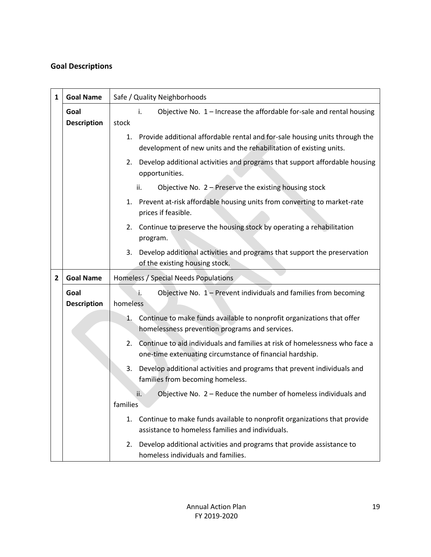## **Goal Descriptions**

| 1              | <b>Goal Name</b>   | Safe / Quality Neighborhoods                                                                                                                         |  |  |  |  |  |  |
|----------------|--------------------|------------------------------------------------------------------------------------------------------------------------------------------------------|--|--|--|--|--|--|
|                | Goal               | Objective No. 1 - Increase the affordable for-sale and rental housing<br>i.                                                                          |  |  |  |  |  |  |
|                | <b>Description</b> | stock                                                                                                                                                |  |  |  |  |  |  |
|                |                    | 1. Provide additional affordable rental and for-sale housing units through the<br>development of new units and the rehabilitation of existing units. |  |  |  |  |  |  |
|                |                    | Develop additional activities and programs that support affordable housing<br>2.<br>opportunities.                                                   |  |  |  |  |  |  |
|                |                    | Objective No. $2 -$ Preserve the existing housing stock<br>ii.                                                                                       |  |  |  |  |  |  |
|                |                    | Prevent at-risk affordable housing units from converting to market-rate<br>1.<br>prices if feasible.                                                 |  |  |  |  |  |  |
|                |                    | Continue to preserve the housing stock by operating a rehabilitation<br>2.<br>program.                                                               |  |  |  |  |  |  |
|                |                    | Develop additional activities and programs that support the preservation<br>3.<br>of the existing housing stock.                                     |  |  |  |  |  |  |
| $\overline{2}$ | <b>Goal Name</b>   | Homeless / Special Needs Populations                                                                                                                 |  |  |  |  |  |  |
|                | Goal               | Objective No. 1 - Prevent individuals and families from becoming<br>i.                                                                               |  |  |  |  |  |  |
|                | <b>Description</b> | homeless                                                                                                                                             |  |  |  |  |  |  |
|                |                    | Continue to make funds available to nonprofit organizations that offer<br>1.                                                                         |  |  |  |  |  |  |
|                |                    | homelessness prevention programs and services.                                                                                                       |  |  |  |  |  |  |
|                |                    | Continue to aid individuals and families at risk of homelessness who face a<br>2.<br>one-time extenuating circumstance of financial hardship.        |  |  |  |  |  |  |
|                |                    | 3.<br>Develop additional activities and programs that prevent individuals and<br>families from becoming homeless.                                    |  |  |  |  |  |  |
|                |                    | Objective No. 2 - Reduce the number of homeless individuals and<br>ii.                                                                               |  |  |  |  |  |  |
|                |                    | families                                                                                                                                             |  |  |  |  |  |  |
|                |                    |                                                                                                                                                      |  |  |  |  |  |  |
|                |                    | Continue to make funds available to nonprofit organizations that provide<br>1.<br>assistance to homeless families and individuals.                   |  |  |  |  |  |  |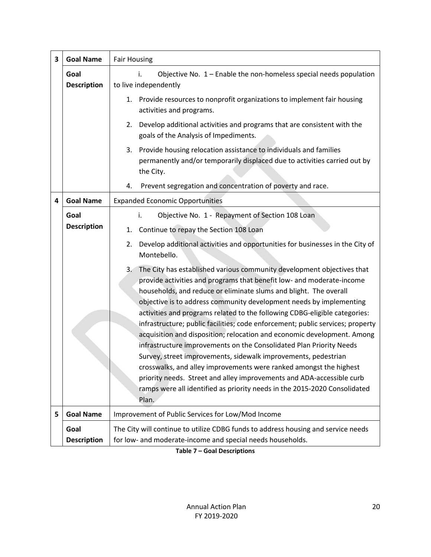| 3 | <b>Goal Name</b>           | <b>Fair Housing</b>                                                                                                                                                                                                                                                                                                                                                                                                                                                                                                                                                                                                                                                                                                                                                                                                                                                                                                        |  |  |  |  |  |
|---|----------------------------|----------------------------------------------------------------------------------------------------------------------------------------------------------------------------------------------------------------------------------------------------------------------------------------------------------------------------------------------------------------------------------------------------------------------------------------------------------------------------------------------------------------------------------------------------------------------------------------------------------------------------------------------------------------------------------------------------------------------------------------------------------------------------------------------------------------------------------------------------------------------------------------------------------------------------|--|--|--|--|--|
|   | Goal<br><b>Description</b> | Objective No. 1 - Enable the non-homeless special needs population<br>i.<br>to live independently                                                                                                                                                                                                                                                                                                                                                                                                                                                                                                                                                                                                                                                                                                                                                                                                                          |  |  |  |  |  |
|   |                            | Provide resources to nonprofit organizations to implement fair housing<br>1.<br>activities and programs.                                                                                                                                                                                                                                                                                                                                                                                                                                                                                                                                                                                                                                                                                                                                                                                                                   |  |  |  |  |  |
|   |                            | Develop additional activities and programs that are consistent with the<br>2.<br>goals of the Analysis of Impediments.                                                                                                                                                                                                                                                                                                                                                                                                                                                                                                                                                                                                                                                                                                                                                                                                     |  |  |  |  |  |
|   |                            | Provide housing relocation assistance to individuals and families<br>3.<br>permanently and/or temporarily displaced due to activities carried out by<br>the City.                                                                                                                                                                                                                                                                                                                                                                                                                                                                                                                                                                                                                                                                                                                                                          |  |  |  |  |  |
|   |                            | Prevent segregation and concentration of poverty and race.<br>4.                                                                                                                                                                                                                                                                                                                                                                                                                                                                                                                                                                                                                                                                                                                                                                                                                                                           |  |  |  |  |  |
| 4 | <b>Goal Name</b>           | <b>Expanded Economic Opportunities</b>                                                                                                                                                                                                                                                                                                                                                                                                                                                                                                                                                                                                                                                                                                                                                                                                                                                                                     |  |  |  |  |  |
|   | Goal                       | Objective No. 1 - Repayment of Section 108 Loan<br>i.                                                                                                                                                                                                                                                                                                                                                                                                                                                                                                                                                                                                                                                                                                                                                                                                                                                                      |  |  |  |  |  |
|   | <b>Description</b>         | Continue to repay the Section 108 Loan<br>1.                                                                                                                                                                                                                                                                                                                                                                                                                                                                                                                                                                                                                                                                                                                                                                                                                                                                               |  |  |  |  |  |
|   |                            | Develop additional activities and opportunities for businesses in the City of<br>2.<br>Montebello.                                                                                                                                                                                                                                                                                                                                                                                                                                                                                                                                                                                                                                                                                                                                                                                                                         |  |  |  |  |  |
|   |                            | The City has established various community development objectives that<br>3.<br>provide activities and programs that benefit low- and moderate-income<br>households, and reduce or eliminate slums and blight. The overall<br>objective is to address community development needs by implementing<br>activities and programs related to the following CDBG-eligible categories:<br>infrastructure; public facilities; code enforcement; public services; property<br>acquisition and disposition; relocation and economic development. Among<br>infrastructure improvements on the Consolidated Plan Priority Needs<br>Survey, street improvements, sidewalk improvements, pedestrian<br>crosswalks, and alley improvements were ranked amongst the highest<br>priority needs. Street and alley improvements and ADA-accessible curb<br>ramps were all identified as priority needs in the 2015-2020 Consolidated<br>Plan. |  |  |  |  |  |
| 5 | <b>Goal Name</b>           | Improvement of Public Services for Low/Mod Income                                                                                                                                                                                                                                                                                                                                                                                                                                                                                                                                                                                                                                                                                                                                                                                                                                                                          |  |  |  |  |  |
|   | Goal<br><b>Description</b> | The City will continue to utilize CDBG funds to address housing and service needs<br>for low- and moderate-income and special needs households.                                                                                                                                                                                                                                                                                                                                                                                                                                                                                                                                                                                                                                                                                                                                                                            |  |  |  |  |  |

**Table 7 – Goal Descriptions**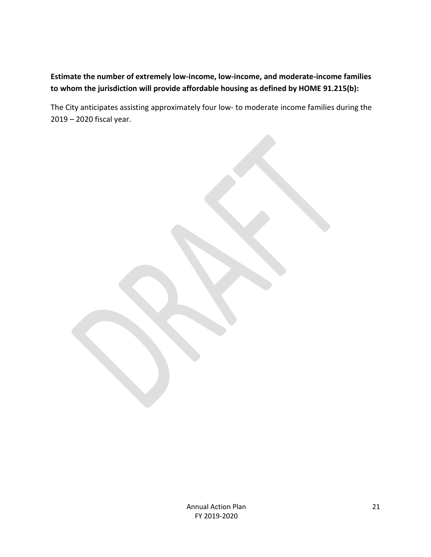## **Estimate the number of extremely low-income, low-income, and moderate-income families to whom the jurisdiction will provide affordable housing as defined by HOME 91.215(b):**

The City anticipates assisting approximately four low- to moderate income families during the 2019 – 2020 fiscal year.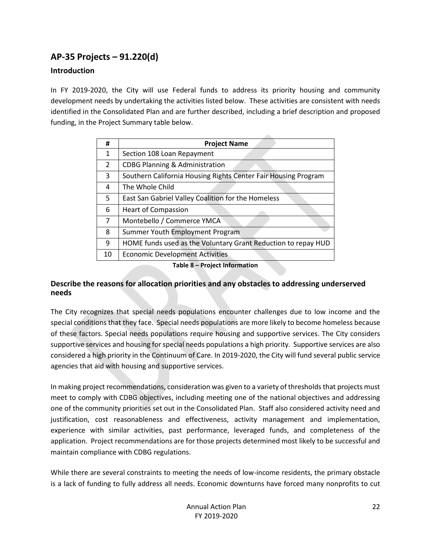## <span id="page-22-0"></span>**AP-35 Projects – 91.220(d)**

### **Introduction**

In FY 2019-2020, the City will use Federal funds to address its priority housing and community development needs by undertaking the activities listed below. These activities are consistent with needs identified in the Consolidated Plan and are further described, including a brief description and proposed funding, in the Project Summary table below.

| #              | <b>Project Name</b>                                            |
|----------------|----------------------------------------------------------------|
| 1              | Section 108 Loan Repayment                                     |
| $\overline{2}$ | <b>CDBG Planning &amp; Administration</b>                      |
| 3              | Southern California Housing Rights Center Fair Housing Program |
| 4              | The Whole Child                                                |
| 5              | East San Gabriel Valley Coalition for the Homeless             |
| 6              | <b>Heart of Compassion</b>                                     |
| 7              | Montebello / Commerce YMCA                                     |
| 8              | Summer Youth Employment Program                                |
| 9              | HOME funds used as the Voluntary Grant Reduction to repay HUD  |
| 10             | <b>Economic Development Activities</b>                         |

**Table 8 – Project Information**

#### **Describe the reasons for allocation priorities and any obstacles to addressing underserved needs**

The City recognizes that special needs populations encounter challenges due to low income and the special conditions that they face. Special needs populations are more likely to become homeless because of these factors. Special needs populations require housing and supportive services. The City considers supportive services and housing for special needs populations a high priority. Supportive services are also considered a high priority in the Continuum of Care. In 2019-2020, the City will fund several public service agencies that aid with housing and supportive services.

In making project recommendations, consideration was given to a variety of thresholds that projects must meet to comply with CDBG objectives, including meeting one of the national objectives and addressing one of the community priorities set out in the Consolidated Plan. Staff also considered activity need and justification, cost reasonableness and effectiveness, activity management and implementation, experience with similar activities, past performance, leveraged funds, and completeness of the application. Project recommendations are for those projects determined most likely to be successful and maintain compliance with CDBG regulations.

While there are several constraints to meeting the needs of low-income residents, the primary obstacle is a lack of funding to fully address all needs. Economic downturns have forced many nonprofits to cut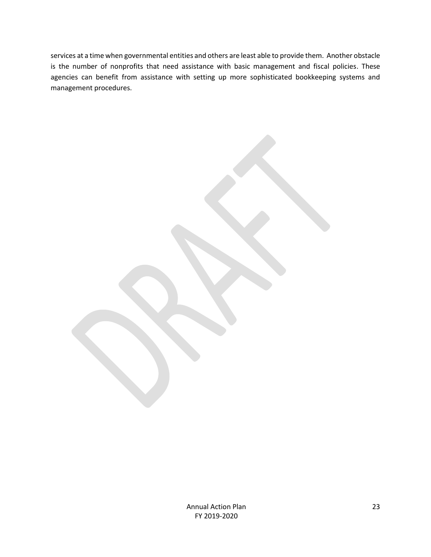services at a time when governmental entities and others are least able to provide them. Another obstacle is the number of nonprofits that need assistance with basic management and fiscal policies. These agencies can benefit from assistance with setting up more sophisticated bookkeeping systems and management procedures.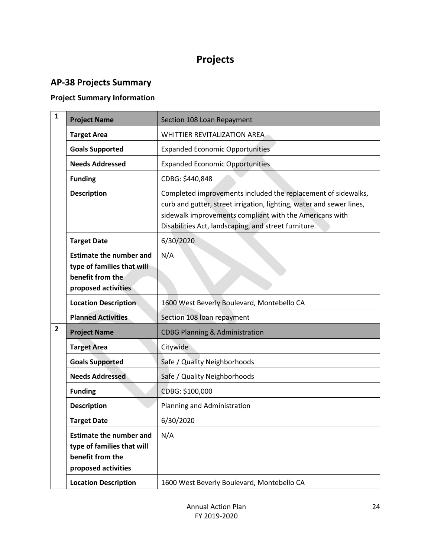## **Projects**

## <span id="page-24-1"></span><span id="page-24-0"></span>**AP-38 Projects Summary**

## **Project Summary Information**

| $\mathbf{1}$                        | <b>Project Name</b>                                                                                     | Section 108 Loan Repayment                                                                                                                                                                                                                               |
|-------------------------------------|---------------------------------------------------------------------------------------------------------|----------------------------------------------------------------------------------------------------------------------------------------------------------------------------------------------------------------------------------------------------------|
|                                     | <b>Target Area</b>                                                                                      | WHITTIER REVITALIZATION AREA                                                                                                                                                                                                                             |
|                                     | <b>Goals Supported</b>                                                                                  | <b>Expanded Economic Opportunities</b>                                                                                                                                                                                                                   |
|                                     | <b>Needs Addressed</b>                                                                                  | <b>Expanded Economic Opportunities</b>                                                                                                                                                                                                                   |
|                                     | <b>Funding</b>                                                                                          | CDBG: \$440,848                                                                                                                                                                                                                                          |
|                                     | <b>Description</b>                                                                                      | Completed improvements included the replacement of sidewalks,<br>curb and gutter, street irrigation, lighting, water and sewer lines,<br>sidewalk improvements compliant with the Americans with<br>Disabilities Act, landscaping, and street furniture. |
|                                     | <b>Target Date</b>                                                                                      | 6/30/2020                                                                                                                                                                                                                                                |
|                                     | <b>Estimate the number and</b><br>type of families that will<br>benefit from the<br>proposed activities | N/A                                                                                                                                                                                                                                                      |
|                                     | <b>Location Description</b>                                                                             | 1600 West Beverly Boulevard, Montebello CA                                                                                                                                                                                                               |
|                                     | <b>Planned Activities</b>                                                                               | Section 108 loan repayment                                                                                                                                                                                                                               |
| $\mathbf{2}$<br><b>Project Name</b> |                                                                                                         | <b>CDBG Planning &amp; Administration</b>                                                                                                                                                                                                                |
|                                     | <b>Target Area</b>                                                                                      | Citywide                                                                                                                                                                                                                                                 |
|                                     | <b>Goals Supported</b>                                                                                  | Safe / Quality Neighborhoods                                                                                                                                                                                                                             |
|                                     | <b>Needs Addressed</b>                                                                                  | Safe / Quality Neighborhoods                                                                                                                                                                                                                             |
|                                     | <b>Funding</b>                                                                                          | CDBG: \$100,000                                                                                                                                                                                                                                          |
|                                     | <b>Description</b>                                                                                      | Planning and Administration                                                                                                                                                                                                                              |
|                                     | <b>Target Date</b>                                                                                      | 6/30/2020                                                                                                                                                                                                                                                |
|                                     | <b>Estimate the number and</b><br>type of families that will<br>benefit from the<br>proposed activities | N/A                                                                                                                                                                                                                                                      |
|                                     | <b>Location Description</b>                                                                             | 1600 West Beverly Boulevard, Montebello CA                                                                                                                                                                                                               |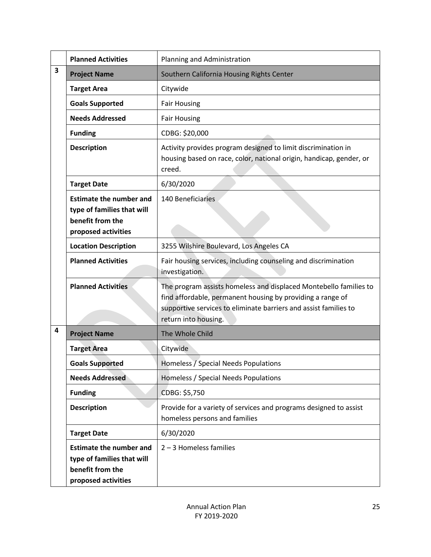|                                             | <b>Planned Activities</b>                                                                               | Planning and Administration                                                                                                                                                                                                 |  |
|---------------------------------------------|---------------------------------------------------------------------------------------------------------|-----------------------------------------------------------------------------------------------------------------------------------------------------------------------------------------------------------------------------|--|
| $\overline{\mathbf{3}}$                     | <b>Project Name</b>                                                                                     | Southern California Housing Rights Center                                                                                                                                                                                   |  |
|                                             | <b>Target Area</b>                                                                                      | Citywide                                                                                                                                                                                                                    |  |
|                                             | <b>Goals Supported</b>                                                                                  | <b>Fair Housing</b>                                                                                                                                                                                                         |  |
|                                             | <b>Needs Addressed</b>                                                                                  | <b>Fair Housing</b>                                                                                                                                                                                                         |  |
|                                             | <b>Funding</b>                                                                                          | CDBG: \$20,000                                                                                                                                                                                                              |  |
|                                             | <b>Description</b>                                                                                      | Activity provides program designed to limit discrimination in<br>housing based on race, color, national origin, handicap, gender, or<br>creed.                                                                              |  |
|                                             | <b>Target Date</b>                                                                                      | 6/30/2020                                                                                                                                                                                                                   |  |
|                                             | <b>Estimate the number and</b><br>type of families that will<br>benefit from the<br>proposed activities | 140 Beneficiaries                                                                                                                                                                                                           |  |
|                                             | <b>Location Description</b>                                                                             | 3255 Wilshire Boulevard, Los Angeles CA                                                                                                                                                                                     |  |
|                                             | <b>Planned Activities</b>                                                                               | Fair housing services, including counseling and discrimination<br>investigation.                                                                                                                                            |  |
|                                             | <b>Planned Activities</b>                                                                               | The program assists homeless and displaced Montebello families to<br>find affordable, permanent housing by providing a range of<br>supportive services to eliminate barriers and assist families to<br>return into housing. |  |
| 4<br>The Whole Child<br><b>Project Name</b> |                                                                                                         |                                                                                                                                                                                                                             |  |
|                                             | <b>Target Area</b>                                                                                      | Citywide                                                                                                                                                                                                                    |  |
|                                             | <b>Goals Supported</b>                                                                                  | Homeless / Special Needs Populations                                                                                                                                                                                        |  |
|                                             | <b>Needs Addressed</b>                                                                                  | Homeless / Special Needs Populations                                                                                                                                                                                        |  |
|                                             | <b>Funding</b>                                                                                          | CDBG: \$5,750                                                                                                                                                                                                               |  |
|                                             | <b>Description</b>                                                                                      | Provide for a variety of services and programs designed to assist<br>homeless persons and families                                                                                                                          |  |
|                                             | <b>Target Date</b>                                                                                      | 6/30/2020                                                                                                                                                                                                                   |  |
|                                             | <b>Estimate the number and</b><br>type of families that will<br>benefit from the<br>proposed activities | $2 - 3$ Homeless families                                                                                                                                                                                                   |  |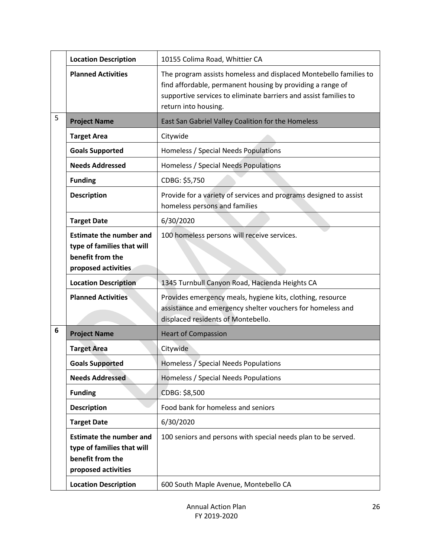|   | <b>Location Description</b>                                                                             | 10155 Colima Road, Whittier CA                                                                                                                                                                                              |  |  |
|---|---------------------------------------------------------------------------------------------------------|-----------------------------------------------------------------------------------------------------------------------------------------------------------------------------------------------------------------------------|--|--|
|   | <b>Planned Activities</b>                                                                               | The program assists homeless and displaced Montebello families to<br>find affordable, permanent housing by providing a range of<br>supportive services to eliminate barriers and assist families to<br>return into housing. |  |  |
| 5 | <b>Project Name</b>                                                                                     | East San Gabriel Valley Coalition for the Homeless                                                                                                                                                                          |  |  |
|   | <b>Target Area</b>                                                                                      | Citywide                                                                                                                                                                                                                    |  |  |
|   | <b>Goals Supported</b>                                                                                  | Homeless / Special Needs Populations                                                                                                                                                                                        |  |  |
|   | <b>Needs Addressed</b>                                                                                  | Homeless / Special Needs Populations                                                                                                                                                                                        |  |  |
|   | <b>Funding</b>                                                                                          | CDBG: \$5,750                                                                                                                                                                                                               |  |  |
|   | <b>Description</b>                                                                                      | Provide for a variety of services and programs designed to assist<br>homeless persons and families                                                                                                                          |  |  |
|   | <b>Target Date</b>                                                                                      | 6/30/2020                                                                                                                                                                                                                   |  |  |
|   | <b>Estimate the number and</b><br>type of families that will<br>benefit from the<br>proposed activities | 100 homeless persons will receive services.                                                                                                                                                                                 |  |  |
|   | <b>Location Description</b>                                                                             | 1345 Turnbull Canyon Road, Hacienda Heights CA                                                                                                                                                                              |  |  |
|   | <b>Planned Activities</b>                                                                               | Provides emergency meals, hygiene kits, clothing, resource<br>assistance and emergency shelter vouchers for homeless and<br>displaced residents of Montebello.                                                              |  |  |
| 6 | <b>Project Name</b>                                                                                     | <b>Heart of Compassion</b>                                                                                                                                                                                                  |  |  |
|   | <b>Target Area</b>                                                                                      | Citywide                                                                                                                                                                                                                    |  |  |
|   | <b>Goals Supported</b>                                                                                  | Homeless / Special Needs Populations                                                                                                                                                                                        |  |  |
|   | <b>Needs Addressed</b>                                                                                  | Homeless / Special Needs Populations                                                                                                                                                                                        |  |  |
|   | <b>Funding</b>                                                                                          | CDBG: \$8,500                                                                                                                                                                                                               |  |  |
|   | <b>Description</b>                                                                                      | Food bank for homeless and seniors                                                                                                                                                                                          |  |  |
|   | <b>Target Date</b>                                                                                      | 6/30/2020                                                                                                                                                                                                                   |  |  |
|   | <b>Estimate the number and</b><br>type of families that will<br>benefit from the<br>proposed activities | 100 seniors and persons with special needs plan to be served.                                                                                                                                                               |  |  |
|   | <b>Location Description</b>                                                                             | 600 South Maple Avenue, Montebello CA                                                                                                                                                                                       |  |  |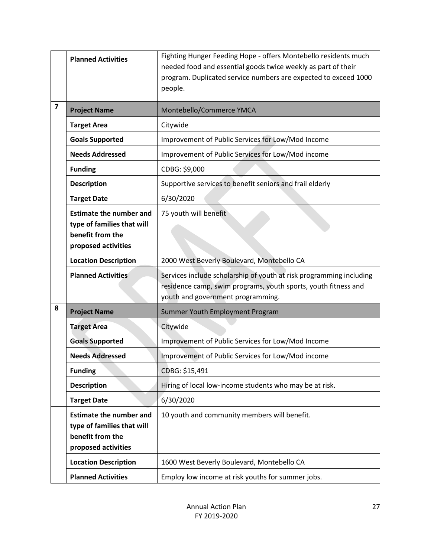|   | <b>Planned Activities</b>                                                                               | Fighting Hunger Feeding Hope - offers Montebello residents much<br>needed food and essential goods twice weekly as part of their<br>program. Duplicated service numbers are expected to exceed 1000<br>people. |  |  |
|---|---------------------------------------------------------------------------------------------------------|----------------------------------------------------------------------------------------------------------------------------------------------------------------------------------------------------------------|--|--|
| 7 | <b>Project Name</b>                                                                                     | Montebello/Commerce YMCA                                                                                                                                                                                       |  |  |
|   | <b>Target Area</b>                                                                                      | Citywide                                                                                                                                                                                                       |  |  |
|   | <b>Goals Supported</b>                                                                                  | Improvement of Public Services for Low/Mod Income                                                                                                                                                              |  |  |
|   | <b>Needs Addressed</b>                                                                                  | Improvement of Public Services for Low/Mod income                                                                                                                                                              |  |  |
|   | <b>Funding</b>                                                                                          | CDBG: \$9,000                                                                                                                                                                                                  |  |  |
|   | <b>Description</b>                                                                                      | Supportive services to benefit seniors and frail elderly                                                                                                                                                       |  |  |
|   | <b>Target Date</b>                                                                                      | 6/30/2020                                                                                                                                                                                                      |  |  |
|   | <b>Estimate the number and</b><br>type of families that will<br>benefit from the<br>proposed activities | 75 youth will benefit                                                                                                                                                                                          |  |  |
|   | <b>Location Description</b>                                                                             | 2000 West Beverly Boulevard, Montebello CA                                                                                                                                                                     |  |  |
|   | <b>Planned Activities</b>                                                                               | Services include scholarship of youth at risk programming including<br>residence camp, swim programs, youth sports, youth fitness and<br>youth and government programming.                                     |  |  |
| 8 | <b>Project Name</b>                                                                                     | Summer Youth Employment Program                                                                                                                                                                                |  |  |
|   | <b>Target Area</b>                                                                                      | Citywide                                                                                                                                                                                                       |  |  |
|   | <b>Goals Supported</b>                                                                                  | Improvement of Public Services for Low/Mod Income                                                                                                                                                              |  |  |
|   | <b>Needs Addressed</b>                                                                                  | Improvement of Public Services for Low/Mod income                                                                                                                                                              |  |  |
|   | <b>Funding</b>                                                                                          | CDBG: \$15,491                                                                                                                                                                                                 |  |  |
|   | <b>Description</b>                                                                                      | Hiring of local low-income students who may be at risk.                                                                                                                                                        |  |  |
|   | <b>Target Date</b>                                                                                      | 6/30/2020                                                                                                                                                                                                      |  |  |
|   | <b>Estimate the number and</b><br>type of families that will<br>benefit from the<br>proposed activities | 10 youth and community members will benefit.                                                                                                                                                                   |  |  |
|   | <b>Location Description</b>                                                                             | 1600 West Beverly Boulevard, Montebello CA                                                                                                                                                                     |  |  |
|   | <b>Planned Activities</b>                                                                               | Employ low income at risk youths for summer jobs.                                                                                                                                                              |  |  |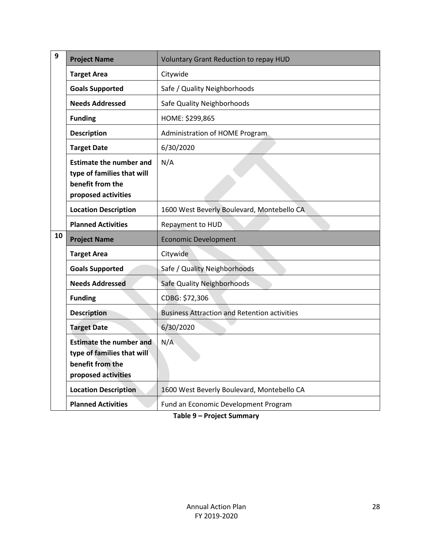| 9  | <b>Project Name</b>                                                                                     | <b>Voluntary Grant Reduction to repay HUD</b>       |  |
|----|---------------------------------------------------------------------------------------------------------|-----------------------------------------------------|--|
|    | <b>Target Area</b>                                                                                      | Citywide                                            |  |
|    | <b>Goals Supported</b>                                                                                  | Safe / Quality Neighborhoods                        |  |
|    | <b>Needs Addressed</b>                                                                                  | Safe Quality Neighborhoods                          |  |
|    | <b>Funding</b>                                                                                          | HOME: \$299,865                                     |  |
|    | <b>Description</b>                                                                                      | Administration of HOME Program                      |  |
|    | <b>Target Date</b>                                                                                      | 6/30/2020                                           |  |
|    | <b>Estimate the number and</b><br>type of families that will<br>benefit from the<br>proposed activities | N/A                                                 |  |
|    | <b>Location Description</b>                                                                             | 1600 West Beverly Boulevard, Montebello CA          |  |
|    | <b>Planned Activities</b>                                                                               | Repayment to HUD                                    |  |
|    |                                                                                                         |                                                     |  |
| 10 | <b>Project Name</b>                                                                                     | <b>Economic Development</b>                         |  |
|    | <b>Target Area</b>                                                                                      | Citywide                                            |  |
|    | <b>Goals Supported</b>                                                                                  | Safe / Quality Neighborhoods                        |  |
|    | <b>Needs Addressed</b>                                                                                  | Safe Quality Neighborhoods                          |  |
|    | <b>Funding</b>                                                                                          | CDBG: \$72,306                                      |  |
|    | <b>Description</b>                                                                                      | <b>Business Attraction and Retention activities</b> |  |
|    | <b>Target Date</b>                                                                                      | 6/30/2020                                           |  |
|    | <b>Estimate the number and</b><br>type of families that will<br>benefit from the<br>proposed activities | N/A                                                 |  |
|    | <b>Location Description</b>                                                                             | 1600 West Beverly Boulevard, Montebello CA          |  |

**Table 9 – Project Summary**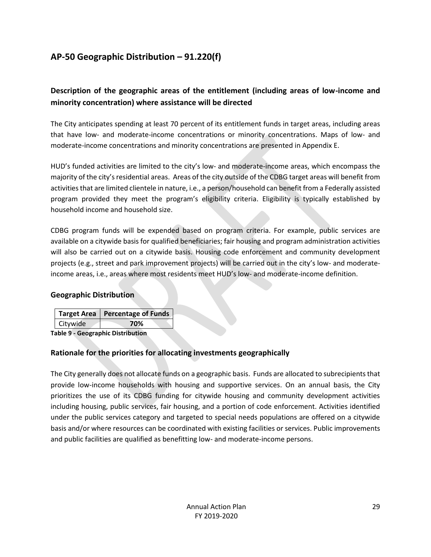## <span id="page-29-0"></span>**AP-50 Geographic Distribution – 91.220(f)**

## **Description of the geographic areas of the entitlement (including areas of low-income and minority concentration) where assistance will be directed**

The City anticipates spending at least 70 percent of its entitlement funds in target areas, including areas that have low- and moderate-income concentrations or minority concentrations. Maps of low- and moderate-income concentrations and minority concentrations are presented in Appendix E.

HUD's funded activities are limited to the city's low- and moderate-income areas, which encompass the majority of the city's residential areas. Areas of the city outside of the CDBG target areas will benefit from activities that are limited clientele in nature, i.e., a person/household can benefit from a Federally assisted program provided they meet the program's eligibility criteria. Eligibility is typically established by household income and household size.

CDBG program funds will be expended based on program criteria. For example, public services are available on a citywide basis for qualified beneficiaries; fair housing and program administration activities will also be carried out on a citywide basis. Housing code enforcement and community development projects (e.g., street and park improvement projects) will be carried out in the city's low- and moderateincome areas, i.e., areas where most residents meet HUD's low- and moderate-income definition.

#### **Geographic Distribution**

|                 | Target Area   Percentage of Funds |
|-----------------|-----------------------------------|
| <b>Citywide</b> | 70%                               |
| .               | .                                 |

**Table 9 - Geographic Distribution** 

#### **Rationale for the priorities for allocating investments geographically**

The City generally does not allocate funds on a geographic basis. Funds are allocated to subrecipients that provide low-income households with housing and supportive services. On an annual basis, the City prioritizes the use of its CDBG funding for citywide housing and community development activities including housing, public services, fair housing, and a portion of code enforcement. Activities identified under the public services category and targeted to special needs populations are offered on a citywide basis and/or where resources can be coordinated with existing facilities or services. Public improvements and public facilities are qualified as benefitting low- and moderate-income persons.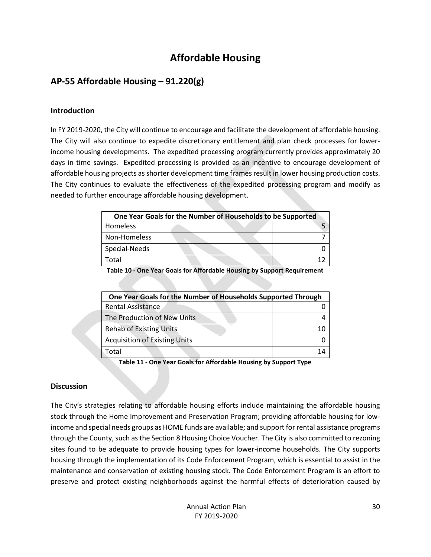## **Affordable Housing**

## <span id="page-30-1"></span><span id="page-30-0"></span>**AP-55 Affordable Housing – 91.220(g)**

#### **Introduction**

In FY 2019-2020, the City will continue to encourage and facilitate the development of affordable housing. The City will also continue to expedite discretionary entitlement and plan check processes for lowerincome housing developments. The expedited processing program currently provides approximately 20 days in time savings. Expedited processing is provided as an incentive to encourage development of affordable housing projects as shorter development time frames result in lower housing production costs. The City continues to evaluate the effectiveness of the expedited processing program and modify as needed to further encourage affordable housing development.

| One Year Goals for the Number of Households to be Supported |  |  |  |
|-------------------------------------------------------------|--|--|--|
| Homeless                                                    |  |  |  |
| Non-Homeless                                                |  |  |  |
| Special-Needs                                               |  |  |  |
| ™otal                                                       |  |  |  |

**Table 10 - One Year Goals for Affordable Housing by Support Requirement**

| One Year Goals for the Number of Households Supported Through |  |  |
|---------------------------------------------------------------|--|--|
| <b>Rental Assistance</b>                                      |  |  |
| The Production of New Units                                   |  |  |
| <b>Rehab of Existing Units</b>                                |  |  |
| <b>Acquisition of Existing Units</b>                          |  |  |
| Total                                                         |  |  |

**Table 11 - One Year Goals for Affordable Housing by Support Type**

#### **Discussion**

The City's strategies relating to affordable housing efforts include maintaining the affordable housing stock through the Home Improvement and Preservation Program; providing affordable housing for lowincome and special needs groups as HOME funds are available; and support for rental assistance programs through the County, such as the Section 8 Housing Choice Voucher. The City is also committed to rezoning sites found to be adequate to provide housing types for lower-income households. The City supports housing through the implementation of its Code Enforcement Program, which is essential to assist in the maintenance and conservation of existing housing stock. The Code Enforcement Program is an effort to preserve and protect existing neighborhoods against the harmful effects of deterioration caused by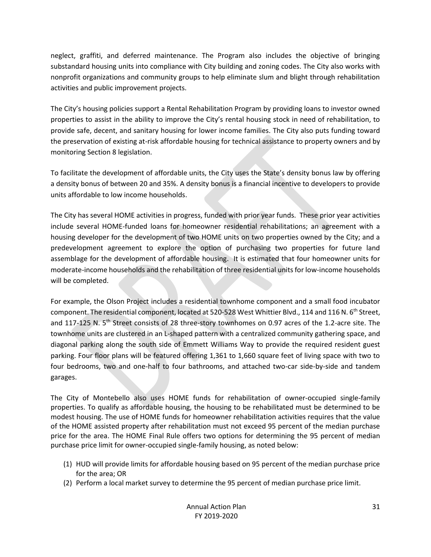neglect, graffiti, and deferred maintenance. The Program also includes the objective of bringing substandard housing units into compliance with City building and zoning codes. The City also works with nonprofit organizations and community groups to help eliminate slum and blight through rehabilitation activities and public improvement projects.

The City's housing policies support a Rental Rehabilitation Program by providing loans to investor owned properties to assist in the ability to improve the City's rental housing stock in need of rehabilitation, to provide safe, decent, and sanitary housing for lower income families. The City also puts funding toward the preservation of existing at-risk affordable housing for technical assistance to property owners and by monitoring Section 8 legislation.

To facilitate the development of affordable units, the City uses the State's density bonus law by offering a density bonus of between 20 and 35%. A density bonus is a financial incentive to developers to provide units affordable to low income households.

The City has several HOME activities in progress, funded with prior year funds. These prior year activities include several HOME-funded loans for homeowner residential rehabilitations; an agreement with a housing developer for the development of two HOME units on two properties owned by the City; and a predevelopment agreement to explore the option of purchasing two properties for future land assemblage for the development of affordable housing. It is estimated that four homeowner units for moderate-income households and the rehabilitation of three residential units for low-income households will be completed.

For example, the Olson Project includes a residential townhome component and a small food incubator component. The residential component, located at 520-528 West Whittier Blvd., 114 and 116 N. 6<sup>th</sup> Street, and 117-125 N. 5th Street consists of 28 three-story townhomes on 0.97 acres of the 1.2-acre site. The townhome units are clustered in an L-shaped pattern with a centralized community gathering space, and diagonal parking along the south side of Emmett Williams Way to provide the required resident guest parking. Four floor plans will be featured offering 1,361 to 1,660 square feet of living space with two to four bedrooms, two and one-half to four bathrooms, and attached two-car side-by-side and tandem garages.

The City of Montebello also uses HOME funds for rehabilitation of owner-occupied single-family properties. To qualify as affordable housing, the housing to be rehabilitated must be determined to be modest housing. The use of HOME funds for homeowner rehabilitation activities requires that the value of the HOME assisted property after rehabilitation must not exceed 95 percent of the median purchase price for the area. The HOME Final Rule offers two options for determining the 95 percent of median purchase price limit for owner-occupied single-family housing, as noted below:

- (1) HUD will provide limits for affordable housing based on 95 percent of the median purchase price for the area; OR
- (2) Perform a local market survey to determine the 95 percent of median purchase price limit.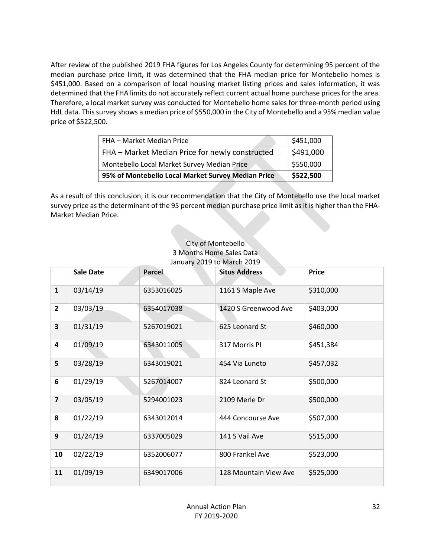After review of the published 2019 FHA figures for Los Angeles County for determining 95 percent of the median purchase price limit, it was determined that the FHA median price for Montebello homes is \$451,000. Based on a comparison of local housing market listing prices and sales information, it was determined that the FHA limits do not accurately reflect current actual home purchase prices for the area. Therefore, a local market survey was conducted for Montebello home sales for three-month period using HdL data. This survey shows a median price of \$550,000 in the City of Montebello and a 95% median value price of \$522,500.

| FHA - Market Median Price                          | \$451,000 |
|----------------------------------------------------|-----------|
| FHA - Market Median Price for newly constructed    | \$491,000 |
| Montebello Local Market Survey Median Price        | \$550,000 |
| 95% of Montebello Local Market Survey Median Price | \$522,500 |

As a result of this conclusion, it is our recommendation that the City of Montebello use the local market survey price as the determinant of the 95 percent median purchase price limit as it is higher than the FHA-Market Median Price.

#### City of Montebello 3 Months Home Sales Data January 2019 to March 2019

|                         | <b>Sale Date</b> | <b>Parcel</b> | <b>Situs Address</b>  | <b>Price</b> |
|-------------------------|------------------|---------------|-----------------------|--------------|
| $\mathbf{1}$            | 03/14/19         | 6353016025    | 1161 S Maple Ave      | \$310,000    |
| $\overline{2}$          | 03/03/19         | 6354017038    | 1420 S Greenwood Ave  | \$403,000    |
| $\overline{\mathbf{3}}$ | 01/31/19         | 5267019021    | 625 Leonard St        | \$460,000    |
| $\overline{\mathbf{4}}$ | 01/09/19         | 6343011005    | 317 Morris Pl         | \$451,384    |
| 5                       | 03/28/19         | 6343019021    | 454 Via Luneto        | \$457,032    |
| 6                       | 01/29/19         | 5267014007    | 824 Leonard St        | \$500,000    |
| $\overline{7}$          | 03/05/19         | 5294001023    | 2109 Merle Dr         | \$500,000    |
| 8                       | 01/22/19         | 6343012014    | 444 Concourse Ave     | \$507,000    |
| $\overline{9}$          | 01/24/19         | 6337005029    | 141 S Vail Ave        | \$515,000    |
| 10                      | 02/22/19         | 6352006077    | 800 Frankel Ave       | \$523,000    |
| 11                      | 01/09/19         | 6349017006    | 128 Mountain View Ave | \$525,000    |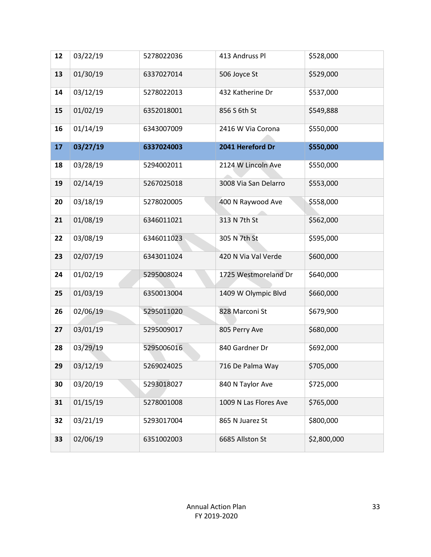| 12 | 03/22/19 | 5278022036 | 413 Andruss Pl        | \$528,000   |
|----|----------|------------|-----------------------|-------------|
| 13 | 01/30/19 | 6337027014 | 506 Joyce St          | \$529,000   |
| 14 | 03/12/19 | 5278022013 | 432 Katherine Dr      | \$537,000   |
| 15 | 01/02/19 | 6352018001 | 856 S 6th St          | \$549,888   |
| 16 | 01/14/19 | 6343007009 | 2416 W Via Corona     | \$550,000   |
| 17 | 03/27/19 | 6337024003 | 2041 Hereford Dr      | \$550,000   |
| 18 | 03/28/19 | 5294002011 | 2124 W Lincoln Ave    | \$550,000   |
| 19 | 02/14/19 | 5267025018 | 3008 Via San Delarro  | \$553,000   |
| 20 | 03/18/19 | 5278020005 | 400 N Raywood Ave     | \$558,000   |
| 21 | 01/08/19 | 6346011021 | 313 N 7th St          | \$562,000   |
| 22 | 03/08/19 | 6346011023 | 305 N 7th St          | \$595,000   |
| 23 | 02/07/19 | 6343011024 | 420 N Via Val Verde   | \$600,000   |
| 24 | 01/02/19 | 5295008024 | 1725 Westmoreland Dr  | \$640,000   |
| 25 | 01/03/19 | 6350013004 | 1409 W Olympic Blvd   | \$660,000   |
| 26 | 02/06/19 | 5295011020 | 828 Marconi St        | \$679,900   |
| 27 | 03/01/19 | 5295009017 | 805 Perry Ave         | \$680,000   |
| 28 | 03/29/19 | 5295006016 | 840 Gardner Dr        | \$692,000   |
| 29 | 03/12/19 | 5269024025 | 716 De Palma Way      | \$705,000   |
| 30 | 03/20/19 | 5293018027 | 840 N Taylor Ave      | \$725,000   |
| 31 | 01/15/19 | 5278001008 | 1009 N Las Flores Ave | \$765,000   |
| 32 | 03/21/19 | 5293017004 | 865 N Juarez St       | \$800,000   |
| 33 | 02/06/19 | 6351002003 | 6685 Allston St       | \$2,800,000 |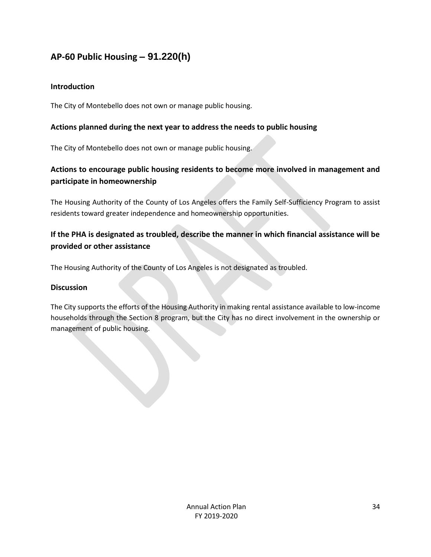## <span id="page-34-0"></span>**AP-60 Public Housing** *–* **91.220(h)**

### **Introduction**

The City of Montebello does not own or manage public housing.

## **Actions planned during the next year to address the needs to public housing**

The City of Montebello does not own or manage public housing.

## **Actions to encourage public housing residents to become more involved in management and participate in homeownership**

The Housing Authority of the County of Los Angeles offers the Family Self-Sufficiency Program to assist residents toward greater independence and homeownership opportunities.

## **If the PHA is designated as troubled, describe the manner in which financial assistance will be provided or other assistance**

The Housing Authority of the County of Los Angeles is not designated as troubled.

#### **Discussion**

The City supports the efforts of the Housing Authority in making rental assistance available to low-income households through the Section 8 program, but the City has no direct involvement in the ownership or management of public housing.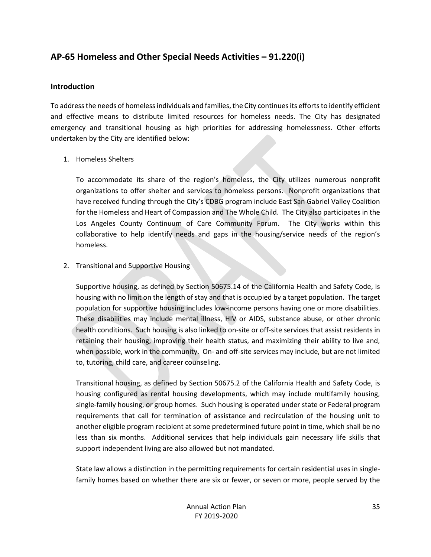## <span id="page-35-0"></span>**AP-65 Homeless and Other Special Needs Activities – 91.220(i)**

#### **Introduction**

To address the needs of homeless individuals and families, the City continues its efforts to identify efficient and effective means to distribute limited resources for homeless needs. The City has designated emergency and transitional housing as high priorities for addressing homelessness. Other efforts undertaken by the City are identified below:

#### 1. Homeless Shelters

To accommodate its share of the region's homeless, the City utilizes numerous nonprofit organizations to offer shelter and services to homeless persons. Nonprofit organizations that have received funding through the City's CDBG program include East San Gabriel Valley Coalition for the Homeless and Heart of Compassion and The Whole Child. The City also participates in the Los Angeles County Continuum of Care Community Forum. The City works within this collaborative to help identify needs and gaps in the housing/service needs of the region's homeless.

#### 2. Transitional and Supportive Housing

Supportive housing, as defined by Section 50675.14 of the California Health and Safety Code, is housing with no limit on the length of stay and that is occupied by a target population. The target population for supportive housing includes low-income persons having one or more disabilities. These disabilities may include mental illness, HIV or AIDS, substance abuse, or other chronic health conditions. Such housing is also linked to on-site or off-site services that assist residents in retaining their housing, improving their health status, and maximizing their ability to live and, when possible, work in the community. On- and off-site services may include, but are not limited to, tutoring, child care, and career counseling.

Transitional housing, as defined by Section 50675.2 of the California Health and Safety Code, is housing configured as rental housing developments, which may include multifamily housing, single-family housing, or group homes. Such housing is operated under state or Federal program requirements that call for termination of assistance and recirculation of the housing unit to another eligible program recipient at some predetermined future point in time, which shall be no less than six months. Additional services that help individuals gain necessary life skills that support independent living are also allowed but not mandated.

State law allows a distinction in the permitting requirements for certain residential uses in singlefamily homes based on whether there are six or fewer, or seven or more, people served by the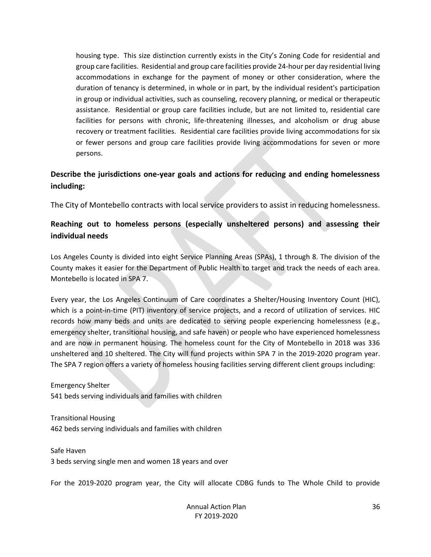housing type. This size distinction currently exists in the City's Zoning Code for residential and group care facilities. Residential and group care facilities provide 24-hour per day residential living accommodations in exchange for the payment of money or other consideration, where the duration of tenancy is determined, in whole or in part, by the individual resident's participation in group or individual activities, such as counseling, recovery planning, or medical or therapeutic assistance. Residential or group care facilities include, but are not limited to, residential care facilities for persons with chronic, life-threatening illnesses, and alcoholism or drug abuse recovery or treatment facilities. Residential care facilities provide living accommodations for six or fewer persons and group care facilities provide living accommodations for seven or more persons.

## **Describe the jurisdictions one-year goals and actions for reducing and ending homelessness including:**

The City of Montebello contracts with local service providers to assist in reducing homelessness.

## **Reaching out to homeless persons (especially unsheltered persons) and assessing their individual needs**

Los Angeles County is divided into eight Service Planning Areas (SPAs), 1 through 8. The division of the County makes it easier for the Department of Public Health to target and track the needs of each area. Montebello is located in SPA 7.

Every year, the Los Angeles Continuum of Care coordinates a Shelter/Housing Inventory Count (HIC), which is a point-in-time (PIT) inventory of service projects, and a record of utilization of services. HIC records how many beds and units are dedicated to serving people experiencing homelessness (e.g., emergency shelter, transitional housing, and safe haven) or people who have experienced homelessness and are now in permanent housing. The homeless count for the City of Montebello in 2018 was 336 unsheltered and 10 sheltered. The City will fund projects within SPA 7 in the 2019-2020 program year. The SPA 7 region offers a variety of homeless housing facilities serving different client groups including:

Emergency Shelter 541 beds serving individuals and families with children

Transitional Housing 462 beds serving individuals and families with children

Safe Haven 3 beds serving single men and women 18 years and over

For the 2019-2020 program year, the City will allocate CDBG funds to The Whole Child to provide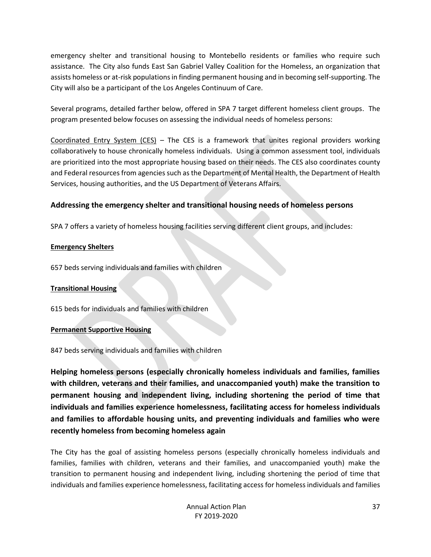emergency shelter and transitional housing to Montebello residents or families who require such assistance. The City also funds East San Gabriel Valley Coalition for the Homeless, an organization that assists homeless or at-risk populations in finding permanent housing and in becoming self-supporting. The City will also be a participant of the Los Angeles Continuum of Care.

Several programs, detailed farther below, offered in SPA 7 target different homeless client groups. The program presented below focuses on assessing the individual needs of homeless persons:

Coordinated Entry System (CES) – The CES is a framework that unites regional providers working collaboratively to house chronically homeless individuals. Using a common assessment tool, individuals are prioritized into the most appropriate housing based on their needs. The CES also coordinates county and Federal resources from agencies such as the Department of Mental Health, the Department of Health Services, housing authorities, and the US Department of Veterans Affairs.

#### **Addressing the emergency shelter and transitional housing needs of homeless persons**

SPA 7 offers a variety of homeless housing facilities serving different client groups, and includes:

#### **Emergency Shelters**

657 beds serving individuals and families with children

#### **Transitional Housing**

615 beds for individuals and families with children

#### **Permanent Supportive Housing**

847 beds serving individuals and families with children

**Helping homeless persons (especially chronically homeless individuals and families, families with children, veterans and their families, and unaccompanied youth) make the transition to permanent housing and independent living, including shortening the period of time that individuals and families experience homelessness, facilitating access for homeless individuals and families to affordable housing units, and preventing individuals and families who were recently homeless from becoming homeless again**

The City has the goal of assisting homeless persons (especially chronically homeless individuals and families, families with children, veterans and their families, and unaccompanied youth) make the transition to permanent housing and independent living, including shortening the period of time that individuals and families experience homelessness, facilitating access for homeless individuals and families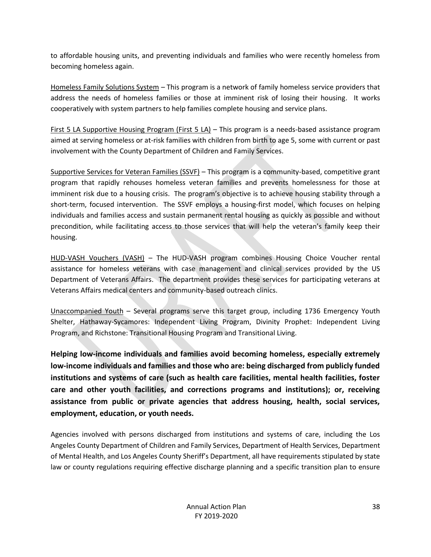to affordable housing units, and preventing individuals and families who were recently homeless from becoming homeless again.

Homeless Family Solutions System – This program is a network of family homeless service providers that address the needs of homeless families or those at imminent risk of losing their housing. It works cooperatively with system partners to help families complete housing and service plans.

First 5 LA Supportive Housing Program (First 5 LA) – This program is a needs-based assistance program aimed at serving homeless or at-risk families with children from birth to age 5, some with current or past involvement with the County Department of Children and Family Services.

Supportive Services for Veteran Families (SSVF) – This program is a community-based, competitive grant program that rapidly rehouses homeless veteran families and prevents homelessness for those at imminent risk due to a housing crisis. The program's objective is to achieve housing stability through a short-term, focused intervention. The SSVF employs a housing-first model, which focuses on helping individuals and families access and sustain permanent rental housing as quickly as possible and without precondition, while facilitating access to those services that will help the veteran's family keep their housing.

HUD-VASH Vouchers (VASH) – The HUD-VASH program combines Housing Choice Voucher rental assistance for homeless veterans with case management and clinical services provided by the US Department of Veterans Affairs. The department provides these services for participating veterans at Veterans Affairs medical centers and community-based outreach clinics.

Unaccompanied Youth – Several programs serve this target group, including 1736 Emergency Youth Shelter, Hathaway-Sycamores: Independent Living Program, Divinity Prophet: Independent Living Program, and Richstone: Transitional Housing Program and Transitional Living.

**Helping low-income individuals and families avoid becoming homeless, especially extremely low-income individuals and families and those who are: being discharged from publicly funded institutions and systems of care (such as health care facilities, mental health facilities, foster care and other youth facilities, and corrections programs and institutions); or, receiving assistance from public or private agencies that address housing, health, social services, employment, education, or youth needs.**

Agencies involved with persons discharged from institutions and systems of care, including the Los Angeles County Department of Children and Family Services, Department of Health Services, Department of Mental Health, and Los Angeles County Sheriff's Department, all have requirements stipulated by state law or county regulations requiring effective discharge planning and a specific transition plan to ensure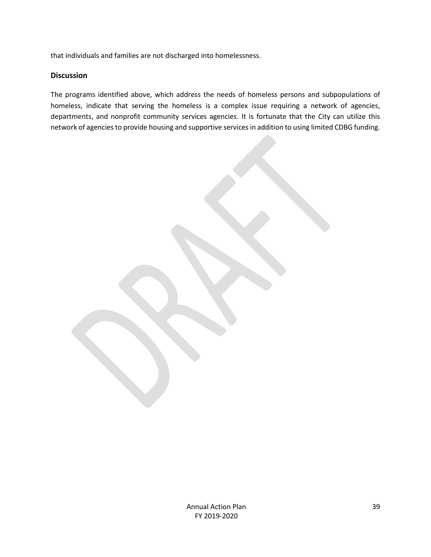that individuals and families are not discharged into homelessness.

#### **Discussion**

The programs identified above, which address the needs of homeless persons and subpopulations of homeless, indicate that serving the homeless is a complex issue requiring a network of agencies, departments, and nonprofit community services agencies. It is fortunate that the City can utilize this network of agencies to provide housing and supportive services in addition to using limited CDBG funding.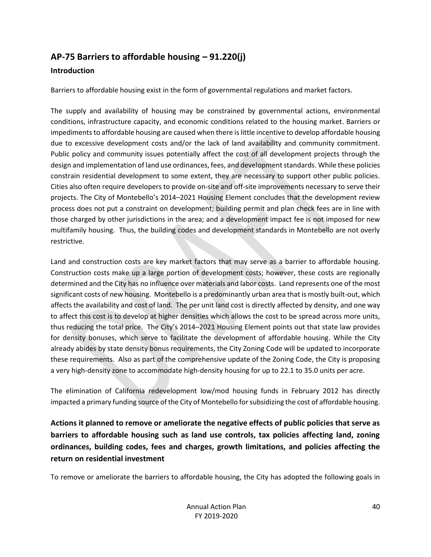## <span id="page-40-0"></span>**AP-75 Barriers to affordable housing – 91.220(j)**

### **Introduction**

Barriers to affordable housing exist in the form of governmental regulations and market factors.

The supply and availability of housing may be constrained by governmental actions, environmental conditions, infrastructure capacity, and economic conditions related to the housing market. Barriers or impediments to affordable housing are caused when there is little incentive to develop affordable housing due to excessive development costs and/or the lack of land availability and community commitment. Public policy and community issues potentially affect the cost of all development projects through the design and implementation of land use ordinances, fees, and development standards. While these policies constrain residential development to some extent, they are necessary to support other public policies. Cities also often require developers to provide on-site and off-site improvements necessary to serve their projects. The City of Montebello's 2014–2021 Housing Element concludes that the development review process does not put a constraint on development; building permit and plan check fees are in line with those charged by other jurisdictions in the area; and a development impact fee is not imposed for new multifamily housing. Thus, the building codes and development standards in Montebello are not overly restrictive.

Land and construction costs are key market factors that may serve as a barrier to affordable housing. Construction costs make up a large portion of development costs; however, these costs are regionally determined and the City has no influence over materials and labor costs. Land represents one of the most significant costs of new housing. Montebello is a predominantly urban area that is mostly built-out, which affects the availability and cost of land. The per unit land cost is directly affected by density, and one way to affect this cost is to develop at higher densities which allows the cost to be spread across more units, thus reducing the total price. The City's 2014–2021 Housing Element points out that state law provides for density bonuses, which serve to facilitate the development of affordable housing. While the City already abides by state density bonus requirements, the City Zoning Code will be updated to incorporate these requirements. Also as part of the comprehensive update of the Zoning Code, the City is proposing a very high-density zone to accommodate high-density housing for up to 22.1 to 35.0 units per acre.

The elimination of California redevelopment low/mod housing funds in February 2012 has directly impacted a primary funding source of the City of Montebello for subsidizing the cost of affordable housing.

## **Actions it planned to remove or ameliorate the negative effects of public policies that serve as barriers to affordable housing such as land use controls, tax policies affecting land, zoning ordinances, building codes, fees and charges, growth limitations, and policies affecting the return on residential investment**

To remove or ameliorate the barriers to affordable housing, the City has adopted the following goals in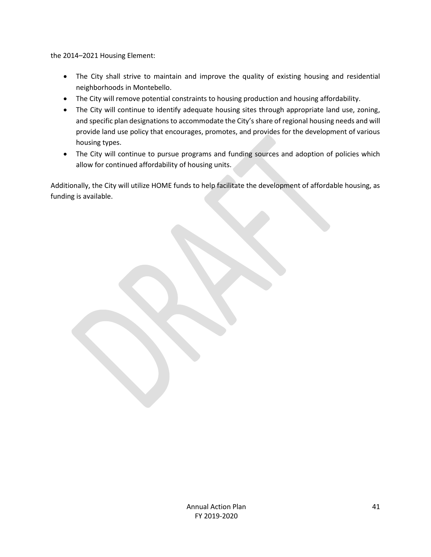the 2014–2021 Housing Element:

- The City shall strive to maintain and improve the quality of existing housing and residential neighborhoods in Montebello.
- The City will remove potential constraints to housing production and housing affordability.
- The City will continue to identify adequate housing sites through appropriate land use, zoning, and specific plan designations to accommodate the City's share of regional housing needs and will provide land use policy that encourages, promotes, and provides for the development of various housing types.
- The City will continue to pursue programs and funding sources and adoption of policies which allow for continued affordability of housing units.

Additionally, the City will utilize HOME funds to help facilitate the development of affordable housing, as funding is available.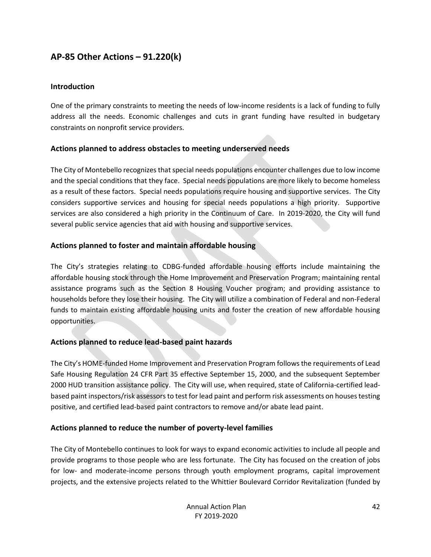## <span id="page-42-0"></span>**AP-85 Other Actions – 91.220(k)**

#### **Introduction**

One of the primary constraints to meeting the needs of low-income residents is a lack of funding to fully address all the needs. Economic challenges and cuts in grant funding have resulted in budgetary constraints on nonprofit service providers.

#### **Actions planned to address obstacles to meeting underserved needs**

The City of Montebello recognizes that special needs populations encounter challenges due to low income and the special conditions that they face. Special needs populations are more likely to become homeless as a result of these factors. Special needs populations require housing and supportive services. The City considers supportive services and housing for special needs populations a high priority. Supportive services are also considered a high priority in the Continuum of Care. In 2019-2020, the City will fund several public service agencies that aid with housing and supportive services.

#### **Actions planned to foster and maintain affordable housing**

The City's strategies relating to CDBG-funded affordable housing efforts include maintaining the affordable housing stock through the Home Improvement and Preservation Program; maintaining rental assistance programs such as the Section 8 Housing Voucher program; and providing assistance to households before they lose their housing. The City will utilize a combination of Federal and non-Federal funds to maintain existing affordable housing units and foster the creation of new affordable housing opportunities.

#### **Actions planned to reduce lead-based paint hazards**

The City's HOME-funded Home Improvement and Preservation Program follows the requirements of Lead Safe Housing Regulation 24 CFR Part 35 effective September 15, 2000, and the subsequent September 2000 HUD transition assistance policy. The City will use, when required, state of California-certified leadbased paint inspectors/risk assessors to test for lead paint and perform risk assessments on houses testing positive, and certified lead-based paint contractors to remove and/or abate lead paint.

#### **Actions planned to reduce the number of poverty-level families**

The City of Montebello continues to look for ways to expand economic activities to include all people and provide programs to those people who are less fortunate. The City has focused on the creation of jobs for low- and moderate-income persons through youth employment programs, capital improvement projects, and the extensive projects related to the Whittier Boulevard Corridor Revitalization (funded by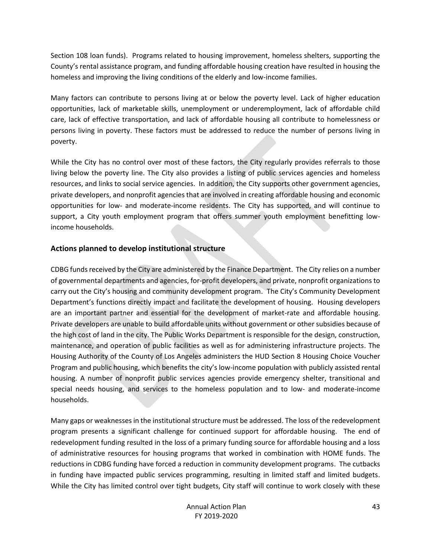Section 108 loan funds). Programs related to housing improvement, homeless shelters, supporting the County's rental assistance program, and funding affordable housing creation have resulted in housing the homeless and improving the living conditions of the elderly and low-income families.

Many factors can contribute to persons living at or below the poverty level. Lack of higher education opportunities, lack of marketable skills, unemployment or underemployment, lack of affordable child care, lack of effective transportation, and lack of affordable housing all contribute to homelessness or persons living in poverty. These factors must be addressed to reduce the number of persons living in poverty.

While the City has no control over most of these factors, the City regularly provides referrals to those living below the poverty line. The City also provides a listing of public services agencies and homeless resources, and links to social service agencies. In addition, the City supports other government agencies, private developers, and nonprofit agencies that are involved in creating affordable housing and economic opportunities for low- and moderate-income residents. The City has supported, and will continue to support, a City youth employment program that offers summer youth employment benefitting lowincome households.

#### **Actions planned to develop institutional structure**

CDBG funds received by the City are administered by the Finance Department. The City relies on a number of governmental departments and agencies, for-profit developers, and private, nonprofit organizations to carry out the City's housing and community development program. The City's Community Development Department's functions directly impact and facilitate the development of housing. Housing developers are an important partner and essential for the development of market-rate and affordable housing. Private developers are unable to build affordable units without government or other subsidies because of the high cost of land in the city. The Public Works Department is responsible for the design, construction, maintenance, and operation of public facilities as well as for administering infrastructure projects. The Housing Authority of the County of Los Angeles administers the HUD Section 8 Housing Choice Voucher Program and public housing, which benefits the city's low-income population with publicly assisted rental housing. A number of nonprofit public services agencies provide emergency shelter, transitional and special needs housing, and services to the homeless population and to low- and moderate-income households.

Many gaps or weaknesses in the institutional structure must be addressed. The loss of the redevelopment program presents a significant challenge for continued support for affordable housing. The end of redevelopment funding resulted in the loss of a primary funding source for affordable housing and a loss of administrative resources for housing programs that worked in combination with HOME funds. The reductions in CDBG funding have forced a reduction in community development programs. The cutbacks in funding have impacted public services programming, resulting in limited staff and limited budgets. While the City has limited control over tight budgets, City staff will continue to work closely with these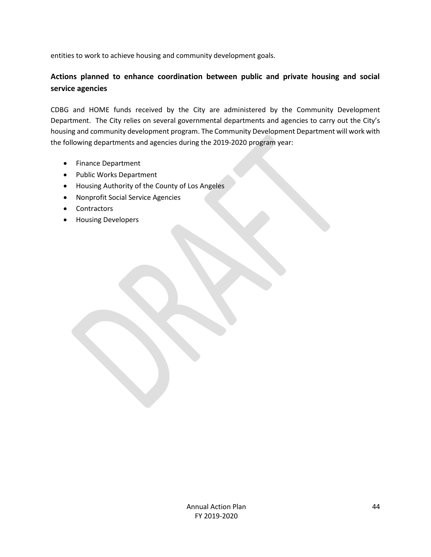entities to work to achieve housing and community development goals.

## **Actions planned to enhance coordination between public and private housing and social service agencies**

CDBG and HOME funds received by the City are administered by the Community Development Department. The City relies on several governmental departments and agencies to carry out the City's housing and community development program. The Community Development Department will work with the following departments and agencies during the 2019-2020 program year:

- Finance Department
- Public Works Department
- Housing Authority of the County of Los Angeles
- Nonprofit Social Service Agencies
- Contractors
- Housing Developers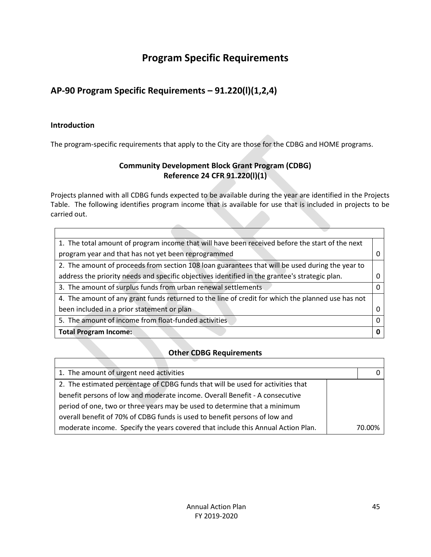## **Program Specific Requirements**

## <span id="page-45-0"></span>**AP-90 Program Specific Requirements – 91.220(l)(1,2,4)**

#### **Introduction**

 $\Gamma$ 

The program-specific requirements that apply to the City are those for the CDBG and HOME programs.

## **Community Development Block Grant Program (CDBG) Reference 24 CFR 91.220(l)(1)**

Projects planned with all CDBG funds expected to be available during the year are identified in the Projects Table. The following identifies program income that is available for use that is included in projects to be carried out.

| 1. The total amount of program income that will have been received before the start of the next   |   |
|---------------------------------------------------------------------------------------------------|---|
| program year and that has not yet been reprogrammed                                               |   |
| 2. The amount of proceeds from section 108 loan guarantees that will be used during the year to   |   |
| address the priority needs and specific objectives identified in the grantee's strategic plan.    |   |
| 3. The amount of surplus funds from urban renewal settlements                                     |   |
| 4. The amount of any grant funds returned to the line of credit for which the planned use has not |   |
| been included in a prior statement or plan                                                        |   |
| 5. The amount of income from float-funded activities.                                             | O |
| <b>Total Program Income:</b>                                                                      |   |

#### **Other CDBG Requirements**

| 1. The amount of urgent need activities                                          |        |
|----------------------------------------------------------------------------------|--------|
| 2. The estimated percentage of CDBG funds that will be used for activities that  |        |
| benefit persons of low and moderate income. Overall Benefit - A consecutive      |        |
| period of one, two or three years may be used to determine that a minimum        |        |
| overall benefit of 70% of CDBG funds is used to benefit persons of low and       |        |
| moderate income. Specify the years covered that include this Annual Action Plan. | 70.00% |

٦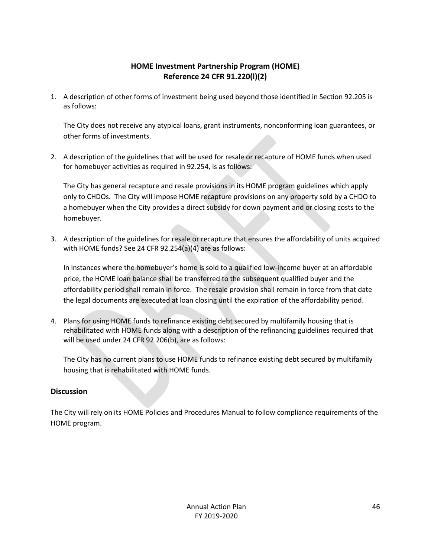## **HOME Investment Partnership Program (HOME) Reference 24 CFR 91.220(l)(2)**

1. A description of other forms of investment being used beyond those identified in Section 92.205 is as follows:

The City does not receive any atypical loans, grant instruments, nonconforming loan guarantees, or other forms of investments.

2. A description of the guidelines that will be used for resale or recapture of HOME funds when used for homebuyer activities as required in 92.254, is as follows:

The City has general recapture and resale provisions in its HOME program guidelines which apply only to CHDOs. The City will impose HOME recapture provisions on any property sold by a CHDO to a homebuyer when the City provides a direct subsidy for down payment and or closing costs to the homebuyer.

3. A description of the guidelines for resale or recapture that ensures the affordability of units acquired with HOME funds? See 24 CFR 92.254(a)(4) are as follows:

In instances where the homebuyer's home is sold to a qualified low-income buyer at an affordable price, the HOME loan balance shall be transferred to the subsequent qualified buyer and the affordability period shall remain in force. The resale provision shall remain in force from that date the legal documents are executed at loan closing until the expiration of the affordability period.

4. Plans for using HOME funds to refinance existing debt secured by multifamily housing that is rehabilitated with HOME funds along with a description of the refinancing guidelines required that will be used under 24 CFR 92.206(b), are as follows:

The City has no current plans to use HOME funds to refinance existing debt secured by multifamily housing that is rehabilitated with HOME funds.

#### **Discussion**

The City will rely on its HOME Policies and Procedures Manual to follow compliance requirements of the HOME program.